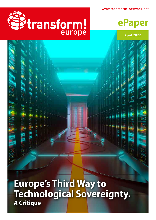www.transform-network.net





**April 2022**

**Europe's Third Way to Technological Sovereignty. A Critique**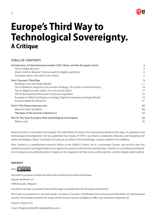

# **Europe's Third Way to Technological Sovereignty. A Critique**

# **TABLE OF CONTENTS**

| Introduction: A Clash between models: USA, China, and the European Union       | 3  |
|--------------------------------------------------------------------------------|----|
| Silicon Valley doctrine                                                        | 4  |
| Adam Smith in Beijing? Chinese's path to digital capitalism                    | 6  |
| European Union, the road to the colony                                         | 7  |
| Part I: Europe's Third Way                                                     | 9  |
| Building a new old Single Market                                               | 11 |
| The Ordoliberal Dogmas of the Juncker Strategy: The Limits of Antitrust Policy | 14 |
| Tax on digital services, pillars of a new social order?                        | 17 |
| The limited political dimension of privacy regulation                          | 18 |
| European Artificial Intelligence Strategy, Digital Sovereignty or Empty Words? | 19 |
| Europe's Battle for Discourse                                                  | 21 |
| <b>Part II: The Franco-German axis</b>                                         | 23 |
| <b>Macron's Start-up Nation</b>                                                | 23 |
| The hype of the German Industry 4.0                                            | 28 |
| Part III: The Gaia-X project, fake technological sovereignty                   | 32 |
| What to do?                                                                    | 35 |
|                                                                                |    |

*Ekaitz Cancela* is a journalist and essayist. His main fields of study is the intersection between the logic of capitalism and technological development. He has published two books, El TTIP y sus efectos colaterales (Planeta) and Despertar del sueño tecnológico (Akal). Currently, he works as an editor at the knowledge curation platform The Syllabus.

*Aitor Jiménez* is a postdoctoral research fellow at the ADM+S Centre. He is a sociologist, lawyer, and activist who has worked as a policy and legal analyst for progressive causes in Latin America and Europe. Jiménez is currently providing advice to progressive political parties in Spain on the regulation of fake news, public opinion, and the digital public sphere.

# **IMPRINT**



*transform! european network for alternative thinking and political dialogue*

Square de Meeûs 25

1000 Brussels, Belgium

transform! europe is partially financed through a subsidy from the European Parliament.

This work by transform! is licensed under a Creative Commons Attribution-NonCommercial-ShareAlike 4.0 International License. Permissions beyond the scope of this license may be available at office (at) transform-network.net.

Layout: sanja.at e.U.

Cover: DragosCondreaW; depositphotos.com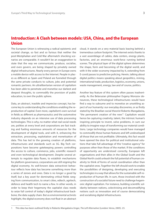# <span id="page-2-0"></span>**Introduction: A Clash between models: USA, China, and the European Union**

The European Union is witnessing a radical epistemic and societal change, so fast and so furious that neither the post-Westphalian and Cold War aftermatch shocking scenarios are comparable. It wouldn't be an exaggeration to state that the way we communicate, produce, socialise, and even govern, are being shaped by privately owned digital infrastructures. Nearly every person in Europe owns a mobile device with access to the Internet. People in places as different as Spain and Poland are funneled through the same private conducts to culture, jobs and potential romantic partners. An ultralibertarian version of capitalism has been able to penetrate and monetise our darkest and deepest thoughts, to commodify the provision of public education, to own the public sphere.

Data, an abstract, inasible and imprecise concept, has become key to understanding the conditions enabling the reproduction of capital. Even more, capitalism's own survival in fields as different as pharmaceutics and the automotive industry depends on an intensive use of data processing technologies. This is why, no matter what real social needs are, polities at every level and corporations are fast tracking and fueling enormous amounts of resources for the development of digital tools, and with it, enhancing the extraction, processing, exploitation and monetisation of data. This has led to the growing creation of platforms, infrastructures and standards such as 5G. Big Tech corporations have become gatekeeping powers controlling the access to culture, commerce, jobs, scientific research and even technological development. Despite several attempts to regulate data fluxes, to establish mechanisms for platform governance, corporations are still reigning the digital economy. Its well-known data extractivist behaviour reflects how data has become something more than a series of zeroes and ones. Data is no longer a good by itself, but a key asset for dominating critical fields ranging from communication, to smart cities, edtech, agritech, defence and health tech to name a few. In other words, in order to keep their hegemony the capitalist class needs to seize full control of today's digital infrastructural backbone, the data supply chain. But as environmental activists highlight, the digital economy does not float in an abstract

cloud, it stands on a very material basis leaving behind a tremendous carbon footprint. The internet exists thanks to a vast assemblage of cables, data centers, energy plants, factories, and an enormous work-force running behind scenes. The physical layer of the digital sphere determines the shape, form and becoming of the digital world, and with it the wider economy impacted by it, extending from E-covid passes to predictive policing. Herein, talking about digital politics means speaking about geopolitics, mining, international trade, production, logistics, economy, unions, waste management, energy, law and of course, politics.

Another key feature of this system often passes inadvertently. As the Belarusian philosopher Evgeny Morozov denounces, these technological infrastructures would have find a way to subsume and to monetise an unsettling aspect of our humanity: our everyday discoveries, or as firstly stated by the Brazilian social theorist Roberto Mangabeira, "the permanent creation of the new".<sup>1</sup> Capitalism would hence be capturing creativity, talent, the intrinsic human's inspiring principle to invent, solve problems, in sum our ability to imagine ways of transforming our material conditions. Large technology companies would have managed to commodify these human features and left undeveloped all those that are not profitable. Ultimately, this fact would have opened the door for political and institutional solutions that take full advantage of this "creative agency" for purposes other than those of the market. If the conditions of opportunity are understood correctly, European left organisations and their allies in the Global South and the Global North could unleash the full potential of human creativity to think of forms of social coordination other than the capitalist ones. Together the left should work to enable the possibilities of designing, developing and executing technologies in a way that allows for the sustainable self-reproduction of human life. In sum, those involved with the construction of a socialist future need to challenge hegemonic digital capitalism. For instance, building scientific solidarity between nations, colectivising and decomodifying notions such as innovation and of course democratising and socialising digital infrastructures.

<sup>1</sup> This idea has been outlined firstly in Roberto Mangabeira Unger, *The Left Alternative* (London: Verso, 2005). 23.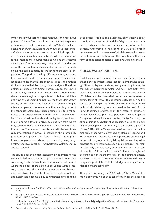

<span id="page-3-0"></span>Unfortunately our technological narratives, and herein our potential for transformation, is trapped by three hegemonic iterations of digital capitalism: Silicon Valley's, the European and the Chinese. What do we know about these models? One of the great unknowns about digital capitalism resides in its lack of homogeneity, in its diverse adaptation to the international environment, as well as the systemic disturbances.2 In the same way, despite falling under one or another technological area of influence, not every polity enjoys the same capacity to challenge technological imperialism. The position held by different nations, including those without a state in the global economy, the colonial legacies, and its financialization levels, impact the nation's ability to secure their technological sovereignty. Therefore, polities as disparate as China, Russia, Europe, the United States, Brazil, Lebanon, Palestina and Euskal Herria world share the same regime of capitalist exploitation, but different ways of understanding politics, the State, democracy, society or laws such as the freedom of expression, to give a few examples. At the same time, the recurring crises of the capitalist system have placed certain institutional actors such as sovereign wealth funds, large asset managers, banks and investment funds and the big four consultancy firms to name a few, in a privileged position from where they can determine the technological development of entire nations. These actors constitute a reticular and ironically internationalist power in search of the profitability promised by Big Tech. This vicious alliance is attempting to colonise global markets and to commodify everything: health, security, education, transportation, welfare, energy and real estate.<sup>3</sup>

The struggle for the digital economy is not limited to the so called platforms. Gigantic corporations and politics are competing for the domination of the critical infrastructures where the digital sphere is built upon: Cables, wires, protocols, data centers. The digital economy has never been so material, physical, and critical for the security of nations, and herein has become a key to understanding ongoing

geopolitical struggles. The multiplicity of interest in display is configuring a myriad of models of digital capitalism with different characteristics and particular conceptions of hegemony. <sup>4</sup> According to the prisoner of Bari, a relationship between states in the essence of which is to exercise power in the form of subjugation over their neighbors. That is, a form of domination that has become *de facto* legitimate.

# **SILICON VALLEY DOCTRINE**

Digital capitalism emerged in a very specific ecosystem shaped by the United States' neoliberal imperialist strategy. Silicon Valley was nurtured and generously funded by the military-industrial complex and ever since both have maintained an enriching symbiotic relationship.<sup>5</sup> Mazzucato (2015) has described how what she terms an entrepreneurial state (or, in other words, public funding) hides behind the success of the region. As Levine explains, the Silicon Valley techno-industrial ecosystem prospered in the heat of public funds destined for defence (military) research. Tax-payers' money flowed into private corporations such as Apple or Google, and elite educational institutions like Stanford, creating a unique ecosystem that occupies a privileged place in the development of current (digital) global capitalism (Fisher, 2018). Silicon Valley also benefited from the neoliberal project adamantly defended by Ronald Reagand and Bill Clinton. Both Democrats and Republicans laid the legal infrastructural grounds of digital capitalism, and helped to privatise basic telecommunication infrastructures. The Internet, formerly a public asset, became under the 1990s iteration of the US Democrats a private "information highway" designed to benefit the interests of the dominant classes. However until the 2000's the Internet represented only a marginal aspect of the wider knowledge economy, a Californian silo of nerd capitalism

Though it was during the 2000's when Silicon Valley's hemonic power truly began to take form under the auspices

<sup>2</sup> Jakob Linaa Jensen, *The Medieval Internet: Power, politics and participation in the digital age* (Bingley: Emerald Group Publishing, 2020).

<sup>3</sup> Giuseppe Fontana, Christos Pitelis, and Jochen Runde, "Financialization and the new capitalism?," *Cambridge Journal of Economics,* 43 (4) (2019): 799–804.

<sup>4</sup> Michael Keane and HQ Yu, "A digital empire in the making: China's outbound digital platforms," *International Journal of Communication* 13(20) (2019): 4624-4641.

<sup>5</sup> Yasha Levine, *Surveillance valley: The secret military history of the Internet* (New York: PublicAffairs, 2018).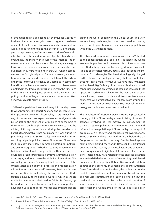of two major political and economic events. First, George W. Bush neoliberal crusade against terror triggered the development of what today is known as surveillance capitalism. Again, public funding fueled the design of GPS technologies, data processing software, the expansion of networks, infrastructures, the standardization of protocols and above everything, the military enclosure of the Internet. The Internet became under the National Security Agency reign a territory of exception where users could be surveilled and punished. They were not alone in that, CIA funded companies such as Google helped to frame a narrowed, enclosed, traceable and burdened version of the Internet. This is how under the infamous presidency of George Bush capitalism found in surveillance a form of suppression of dissent *—*exemplified in the frequent confusion between the functions of the American intelligence services and the cloud computing services of large companies such as Amazon Web Service, Microsoft Azure or Oracle.

 US liberal imperialism has made its way into our day thanks to what prophets like Robert Keohane and Joseph Nye call the apparently peaceful Silicon Valley's soft power.<sup>6</sup> In a way, it is easier and less expensive to open foreign markets by facilitating the connection of millions of consumers to the Internet than through more coercive means such as the military. Although, as evidenced during the presidency of Barack Obama, both are not exclusionary. It was during his presidency where the Silicon Valley ideology took its form, reaching palpable political power. Obama and Silicon Valley's ideology share some common ontological, political and economic grounds. In both cases, they unapologetically defend active climate change policies. They have also encouraged a racial progressive narrative, affirmative action campaigns, and to increase the visibility of minorities. Silicon Valley and Barack Obama updated the narrative of the United States as an agent of progress and modernization whose interests are universal.<sup>7</sup> However, President Obama wasted no time in multiplying the war on terror efforts trough a hevaily technologised warfare, which as Apple said in its devices, was designed in California. Drones, cyberwarfare, new surveillance technologies among other,s have been used to terrorise, murder and mutilate people

around the world, specially in the Global South. This very same military technologies have been used to coerce, surveil and to punish migrants and racialised populations within the US and its borders.

The Obama administration's romance with Silicon Valley led to the consolidation of a "solutionist" ideology, by which every social problem could be tamed via sociotechnical systems. Under this perspective technology develops in a political and sociological vacuum, neutral and independent, immunised from ideologies. This heavily ideologically charged myth politicizes technology in a way that does not stain, does not leave a mark. However, as we have sadly witnessed and suffered, Big Tech algorithms are authoritarian coded capitalism standing on a voracious data and resource thirst apparatus. Washington still remains the main driver of digital capitalism, thanks to its data and fusion centers, closely connected with a vast network of military bases around the world. The relation between capitalism, imperialism, technology and racism has never been so evident.

The legislature of President Donald Trump represented a turning point in Silicon Valley's recent history. A series of scandals involving Big Tech massive mismanagement of data, market manipulation, anti-competitive behavior and information manipulation put Silicon Valley on the spot of academical, civil society and congressional investigations. Some of Silicon Valley's CEOs had to testify before the US Congress on an antitrust enquiry. Similar hearings are taking place around the world.<sup>8</sup> However the arguments outlined by the majority of political actors and academics have not questioned digital capitalism's surveillance backbone. Instead, they have referred to the ongoing situation as a revived Gilded Age, the era of economic growth based on a series of monopolists -Robber Barons- and cartels in control of the economy that made the liberal "American Dream" a misleading tune. For them, the problem is not the model of colonial capitalist accumulation based on data and resource extractivism and labor exploitation, but the market disturbance caused by the hegemonic position of some companies. Herein, despite these debates, we can assert that the fundamentals of the US industrial policy

<sup>6</sup> Joseph S. Nye Jr, *Soft power: The means to success in world politics* (New York: PublicAffairs, 2004).

<sup>7</sup> Steven Johnson, "The political education of Silicon Valley." *Wired* 26, no. 8 (2018): 64-73.

<sup>8</sup> "Digital Markets Investigation. Antitrust Investigation of the Rise and Use of Market Power Online and the Adequacy of Existing Antitrust Laws and Current Enforcement Level," *House Judiciary Committee*, 2021.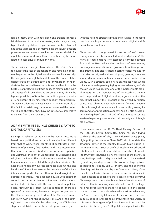

<span id="page-5-0"></span>remain intact, both with Joe Biden and Donald Trump: a blind defense of the capitalist market, activism against any type of state regulation *—*apart from an antitrust law that has as the ultimate goal of maintaining the lowest possible prices for consumers*—*, as well as the manifest disdain for regulatory frameworks of all kinds, whether they be labor, related to user privacy or human rights.

These political strategies have allowed the United States to navigate the seas of globalization and remain an important hegemon in the digital world economy. Paradoxically, the integration into global capitalism of the United States, characterized by deregulation and privatization of its industries, leaves no alternative to its leaders than to use the full force of protectionist trade policy to maintain the main advantage of Silicon Valley and ensure that they obtain the highest possible profits in the competition process, another reminiscent of its nineteenth-century commercialism. The recent offensive against Huawei is a clear example of this fact. In a certain way, this model has served the United States, and therefore they have no categorical imperative to deviate from the capitalist path.

# **ADAM SMITH IN BEIJING? CHINESE'S PATH TO DIGITAL CAPITALISM**

Beijing's translation of Adam Smith's liberal doctrine is based on a political and economic architecture different from that of westernised countries. It constitutes a combination of planning, free markets and state intervention, that reinterpret westernised ideas of socialism, capitalism and welfare, at the light of Chinese political, economic and religious traditions. This architecture is sustained by two fundamental axes articulated through a key principle. Chinese State hegemony over its capitalist class. On the one hand, the Chinese State assures the prevalence of the State interests over particular ones through its ideological and political hegemony. This does not equate with centralist control, but rather a directed alignment of the national capitalist class in tone with the path defined by political elites. Although it is often subject to tension, there is a space of understanding between the great organizers of the Chinese economy: the leaders of the Chinese Communist Party (CCP) and the executives, or CEOs, of the country's main companies. On the other hand, the CCP leadership has established a public-private governance system

with the nation's strongest providers resulting in the rapid creation of a huge network of commercial, digital and financial infrastructures.

China has also strengthened its version of soft power through what has been labelled as 'debt diplomacy'. The new Silk Road initiative is to establish a corridor between Asia and the West, where the conditions of investments, exchange and regulations are governed from Guangzhou. This strategy has also created a technological market for countries not aligned with Washington, granting them essential digital infrastructures designed and produced in China. Such a strategy could have an Achilles heel, which US leaders are desperately trying to take advantage of: although China has become one of the indispensable global centers for the manufacture of high-tech machinery and the provision of digital services, a good chunk of the pieces that support their production are owned by foreign companies. China is decisively moving forward to tame this technological dependency. It is currently growing its semiconductor production capacity. And it is also developing new legal (soft and hard law) infrastructures to contest western hegemony over intellectual property and intangible protocols.

Nonetheless, since the 2013's Third Plenary Session of the 18th CPC Central Committee, China has been trying to change the state of play. Their industrial policy plans, highlighting the 'Made in China 2025', aim to update the structural power of the country through huge public investments in areas such as artificial intelligence, advanced robotics and the creation of platforms capable of providing *smart city* solutions in any metropolis of the planet. In sum, Beijing's path to digital capitalism is characterized by a strong overlap between the country's large private corporations (Alibaba, Baidu, Tencent) and the economic planning policies dictated by the Communist Party. Contrary to what arises from the western media tribunes, it is not possible to speak of a state control of the powerful Chinese private companies, but, rather, of an alignment of interests that is not always free of conflict: while the large national corporations manage to compete in the global context thanks to the scale achieved in the internal market, the State ensures digital means of coercion and a decisive cultural, political and economic influence in the world. In this sense, three types of political interventions could be outlined in three types: 1) Regulations aligned with the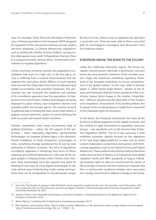<span id="page-6-0"></span>west: for example, China Personal Information Protection Law, a Chinese equivalent to the European GDPR designed for regulation of the interactions between private citizens and tech companies. 2) Chinese idiosyncratic regulations: such as limiting the number of hours children can play online video games every week. 3) Regulations that put China in a vanguard position: among others, Governments interventions to regulate algorithms.<sup>9</sup>

China's enormous economic growth and geopolitical consolidation had come at a high cost. In the first place, society is suffering from a massive restructuration that has widened the rural-urban divide. Millions of rural migrants have become the cheap labor force that has allowed rapid capital accumulation and industrial expansion. The government has also increased the capillarity and intensity of its surveillance apparatus over the population. As happened in the United States, military technologies are being deployed to police citizens. Face recognition devices now populate public and private spaces. The massive amount of gathered data is feeding the state social credit system, a publicly owned cybernetic system of control allowing the state to punish and reward citizen's activities.

Chinese corporations have rarely encountered legal or political limitations *—*rather, the full support of the party-state*—* when deploying algorithmic governmental technologies. An example of these logics is the aforementioned installation of facial recognition technologies in cities, something strongly questioned for its use by state authorities in Western countries. This form of algorithmic surveillance apparatus is enhancing new forms of ethnic cleansing and political repression as is the case of the Uyghur people in Xinjiang (today under Chinese rule). However, these technologies have also opened new paths for thinking of new ways of using digital technologies to radically rethink ways of distributing credit, money and reputation that can be extrapolated to any democratic utopia.

Be that as it may, China's route to capitalism has also been a successful one. China has been able to find a successful path to technological sovereignty and 'disconnect' from the American empire.

## **EUROPEAN UNION, THE ROAD TO THE COLONY**

Unlike the Californian libertarian regime, the former European colonial powers advocate a governance structure where the most powerful industries of the member countries shape the traditional ordoliberal regulatory framework of the European institutions to ensure competitiveness in the global market.<sup>10</sup> In this way, what in Brussels' jargon is called *Digital Single Market*, 11 alludes to the famous and failed plan that the former president of the Commission Jacque Delors began in the nineties (*Single Market*). 12 Without abandoning the blind faith in free markets and competition, characteristic of its founding fathers, the European Union model proposes a model that is respectful of the individual rights of consumers.

In this sense, the European Commission has been at the forefront of liberal regulation of the digital economy, and has insisted on legal instruments to guarantee consumer privacy *—*see standards such as the General Data Protection Regulation (RGPD)-. The EU is also pursuing a more ambitious economic agenda focused on the regulation of US' "very large digital platforms" in areas such as online content moderation, competition and taxation, with forthcoming regulations such as the Digital Services and Digital Markers Act. These political interventions believe that there really exists an End of History (à la Fukuyama), that global capitalism works and offers prosperity as long as individual property rights to data are secured and the notion of the sovereign consumer and free markets are imposed. But this is a technocratic neoliberal mindset, and a very naive one: Having outsourced its defense strategy to the Penta-

<sup>9</sup> Vicent Ni, "TechScape: Xi Jinping's 'Little Red Book' of tech regulation could lead the way", *The Guardian*, 3rd of November, 2021 For a good overview on Chinese privacy policies see Rogier Creemers, "China's Emerging Data Protection Framework", Leiden University, November 26, 2021.

<sup>10</sup> Jacques Crémer, Yves-Alexandre de Montjoye, and Heike Schweitzer. "Competition policy for the digital era." *Report for the European Commission,* 2019.

<sup>11</sup> Mirela Mărcuț, *Crystalizing the EU digital policy* (Luxembourg: Springer, 2017).

<sup>12</sup> Neil Fligstein, and Iona Mara-Drita, "How to make a market: Reflections on the attempt to create a single market in the European Union," *American journal of sociology* 102, no. 1 (1996): 1-33.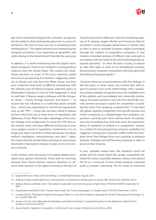

gon and its industrial strategy to the carmakers, Europe has lost the ability to think strategically about how to source its electronics. Nor does it know why this is something worth thinking about.13 The digital infrastructure maintaining the European economies is not impervious to geopolitics and solely relying on the market doesn't look like the way to go.

In addition, it is worth mentioning that the Digital Sovereignty European's rhetoric has resulted in a strong political response from the United States. This country has established sanctions on some of the most important goods and services produced by EU members, triggering a plethora of threats (not only from the White House, but from euro conformist *think tanks* of different orientations) with the ultimate goal of linking European industrial policy to Washington's interests. In view of what happened, it could be said that, if Obama sought a dialogue with the European Union *—*mainly through Germany and France*—*14 to recover the lost influence in a world that pivots towards Asia *—*which was materialized in commercial agreements such as the TTIP*—*, Trump has not been afraid to impose by force what had cost so many hours of negotiation and diplomacy. In fact, Biden has taken advantage of the macabre strategy of his predecessor to revive the TTIP, but under another name, and place different technocrats in even more opaque rounds of negotiation. Furthermore, it is no longer just about seat belts or pharmaceuticals, but about artificial intelligence, semiconductors and data.15 Again, this means that the United States continues to use Europe's blind faith in free trade to impose its rules on the 21st century economy.

In this context, some discourses on European digital sovereignty have gained momentum. Faced with an enormous pressure from franco-German national industries to advance their interests in the digital economy in the face of

Trump's protectionist offensive<sup>16</sup> and the enveloping opening of Xi Jinping, Angela Merkel and Emmanuel Macron promoted a novel campaign. Based more on rhetoric than on facts it aims to promote European digital sovereignty through the creation of competitive companies in new markets, innovation policies of different sizes and rules in accordance with the needs of the most technologically advanced industries.17 In short, Brussels is trying to impose an idea that takes us back to his foundational scenario: the promotion of greater competition will bring about the flourishing of European giants. <sup>18</sup>

 However, there are several problems with this strategy. In the first place, it comes nearly one century later with respect to powers such as the United States, with a production process already reorganized since the neoliberal turn of the eighties, and consolidated into irrevocably technological dominant positions since the First World War. Second, German sacrosanct respect for competition is avoiding the Union from grasping a material fact:<sup>19</sup> It has been the global capitalist competition that has left German and French companies at a disadvantage from predatory corporations exerting even more onerous forms of exploitation over its working class. And even more, the natural tendency of capitalism to embark in a competition `process, in a context of crisis and growing economic instability, has triggered a strong intra-corporate conflict within the European Union that obliged those two countries to embrace draconic strategies and self-harming measures in order to preserve their interests.

In sum, capitalist motion laws, the predatory search for profits and the Squid Game like savage competition between the actors, especially, between nations, have placed the EU at a crossroad. It must choose between corporate profit or people's well-being. The EU needs to transcend

<sup>13</sup> Evgeny Morozov, "Chips with everything", *Le monde diplomatique*, August, 2021.

<sup>14</sup> Andreas Sandre, *Digital diplomacy: Conversations on innovation in foreign policy* (Lanham, MD: Rowman & Littlefield, 2015).

<sup>15</sup> Barbara Mones and Mark Scott, "Transatlantic trade deal rises from the grave to fight China," *POLITICO EUROPE,* September 9, 2021.

<sup>16</sup> Doug Palmer and Mark Scott, "Trump's latest trade war: French champagne vs. Google taxes," *POLITICO*, December 2, 2019.

<sup>17</sup> Luciano Floridi, "The fight for digital sovereignty: What it is, and why it matters, especially for the EU." *Philosophy & Technology.* 33, no. 3 (2020): 369-378.

<sup>18</sup> Jacques Crémer, Yves-Alexandre de Montjoye, and Heike Schweitzer. "Competition policy for the digital era," *Report for the European Commission* (2019).

<sup>19</sup> Anwar Shaikh, *Capitalism: Competition, Conflict and Crises* (London: Oxford University Press, 2016).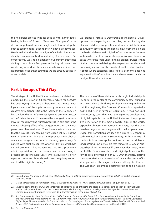<span id="page-8-0"></span>the neoliberal project tying its politics with market logic. Fueling billions of Euros to "European Champions" in order to straighten a European single market, won't stop the path to technological dependency we have already taken. We should abandon the paradigm of capitalist innovation already hegemonically dominated by Chinese and US's corporations. We should abandon our current strategies aiming to establish a European technological power that would only reproduce the same exploitative and imperialist practices over other countries we are already seeing in other models

We propose instead a Democratic Technological Development not shaped by market rules, but inspired by the ideas of solidarity, cooperation and wealth distribution. A community centered technological development built on the basis od democratic digital infrastructures. A fair ecosystem where vast networks of cooperatives can flourish. A space where the logic underpinning digital services is that of the common well-being, the respect for fundamental human rights, and not the profits of soulless shareholders. A space where concepts such as digital economy does not equate with disinformation, data and resource extractivism or algorithmic discrimination.

# **Part I: Europe's Third Way**

The strategy of the United States has been translated into embracing the vision of Silicon Valley, which for decades has been trying to impose a libertarian and almost teleological version of the digital economy: where a bunch of creative entrepreneurs from the "Valley of the Geniuses"20 laid the foundations of the most dynamic economic sector of the 21st century; as if they were the strongest representatives of modernity and human progress. In part due to the intense lobbying efforts of its biggest industries, the European Union has awakened. Their bureaucrats understood that the success story coming from Silicon Valley is not the result of the self-made genius-entrepreneur model, but of calculated long-term economic planning, generously financed with public resources. Analysis like this, which has earned economists like Mariana Mazzucato<sup>21</sup> a prominent role in capitalist intellectual forums, have been echoing in Brussels offices for several years, where a question is often repeated: Who and how should invest, regulate, control and lead the digital economy?

The outcome of these debates has brought industrial policy back to the center of the community debate, pursuing what we called a Third Way to digital sovereignty.<sup>22</sup> Even if at the beginning the European Commission repeatedly positioned itself in favor of regulation,<sup>23</sup> It was not until very recently, coinciding with the explosive development of digital capitalism in the United States and the progressive penetration of the most powerful firms in the world, especially Chinese, into European markets, that the concern has begun to become general in the European Union. Digital transformations are seen as a risk to its economic, technological and cultural sovereignty. In this context, all the institutions have spoken out and expressed different kinds of 'dirigisme' behaviors that reificates European "dictatorship of no alternatives".<sup>24</sup> Ursula von der Leyen, President of the Commission, has made digital policy one of the key political priorities of her 2019-2024 mandate, placing the appropriation and valuation of data at the center of its strategy and as the major political challenge for Europe. The European Parliament, boasting of Sinophobia, has also

<sup>20</sup> Noam Cohen, *The know-it-alls: The rise of Silicon Valley as a political powerhouse and social wrecking ball.* (New York: Simon and Schuster, 2018).

<sup>21</sup> Mariana Mazzucato. *The Entrepreneurial State: Debunking Public vs. Private Sector Myths*. (London: Penguin Books, 2017).

<sup>22</sup> Since we coined this term, with the intention of parodying and criticising the social democratic path chosen by Tony Blair, its intellectual apostles have taken the concept so seriously that they have used it to legitimise the agenda criticised here. See Carmen Colomina. "Europa, la tercera vía de la transformación tecnológica," *Cibod*. 2021

<sup>23</sup> See *Communication from the Commission to the European Parliament, the Council, the European Economic and Social Committee and the Committee of the Regions on The Mid-Term Review on the Implementation of the Digital Single Market Strategy a Connected Digital Single Market for All* (2017)*; Communication on Exchanging and Protecting Personal Data in A Globalised World: Questions And Answers* (2017). *Digital Single Market Bringing Down Barriers to Unlock Online Opportunities*. EC Fact Sheet (2018).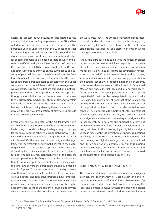

expressed concern about security threats related to the growing Chinese technological presence in the EU and has called for possible action to reduce such dependence. The European Council underlined that the EU must go further in developing a competitive, secure, inclusive and ethical digital economy with world-class connectivity, and called for special emphasis to be placed on data security and issues of artificial intelligence. Even the Court of Justice of the European Union (EU) has pointed out that the US does not offer sufficient guarantees on the surveillance and security of personal data, and therefore invalidates the Data Protection Shield, the agreement that regulates the transfer of data from European users to processors in the US for commercial purposes. All these institutional arrangements, we will argue, European politics are trapped on a political philosophy and legal thought that humanizes capitalism through various initiatives: on the one hand, compensatory redistribution mechanisms through tax and transfers imposed to the Big Tech; on the other, an idealization of law as principle and policy, denying the resources which to develop the practical imagination of alternatives outside Brussels' army of technocrats.

Before delving into the details of the digital strategy, it is worth offering a brief description of how the European Union is trying to poorly challenge the hegemony of the digital economy from the other two major global powers, China and the United States. In this struggle the EU is acting at a triple level. On the one hand, it has configured the legal framework necessary to define what it has called the digital single market. That is, a digital capitalism whose limits are defined by the political criteria of the European Union, in turn determined in a very significant way by the pressure groups operating in the Belgian capital. Second, knowing that it cannot compete economically or scientifically with the other two powers, the European technocracy is making use of soft power<sup>25</sup> to enforce its vision of the digital economy through supranational regulations. In recent years, various political and legislative proposals have emerged, now in a very advanced state of discussion or already approved, aimed at regulating crucial aspects of the digital economy such as the management of public and private data, communications, the tax scheme, or the situation of

the workforce. That is, the EU has proposed to define international standards in matters of privacy, ethics in AI, labor, social and digital rights, which shows that the battle is to establish the legal, political and discursive terms on which the digital economy is being built.

Finally, the third level has to do with the green or digital industrial transformation, which corresponds to the desire of the EU to undertake a qualitative leap in its production model that allows it to safeguard its sovereignty, understood as the beliefs and values of the founding fathers, while maintaining a market economy strongly subjected to the beautiful set of laws produced in national parliaments. In this sense, there are several distinctions: both Emmanuel Macron and Angela Merkel speak of digital sovereignty referring to national industrial projects (French and German respectively) that can be extrapolated supranationally (EU), a position quite different from that of the Belgian von der Leyen. The former have a clear statist character, typical of the political traditions of both countries, as well as mercantilist. They range from the rhetoric of enforcing national champions, existing or to be created, to articulating digital sovereignty in a similar way to monetary sovereignty in the Eurozone, with both national and supranational levels of implementation.26 Therefore, the natural evolution of this policy will tend to the following logic: digital sovereignty will take place at the EU level through specific regulations and laws, while German and French multinationals will lead the way for digital sovereignty at the supranational one (*de jure* and not only possibly *de facto*), thus aligning industrial strategies and national homeland policies with the interests of the Franco-German axis. A maneuver as old as the existence of the European Union itself.

## **BUILDING A NEW OLD SINGLE MARKET**

The European Union has opted for a model that navigates between the libertarianism of Silicon Valley and the intense interventionism of the Chinese Government. On the one hand, it claims a central position in defining the legal and political framework where the green and digital industrial transition will develop. It does it in a similar way

<sup>25</sup> Thomas Biersteker, "The Potential of Europe's Sharp and Soft Power," *Global Policy* 11, no. 3 (2020): 384-387.

<sup>26</sup> "Luciano Floridi. The Fight for Digital Sovereignty: What It Is, and Why It Matters, Especially for the EU," *Philosophy & Technology* 33 (2020): 369–378.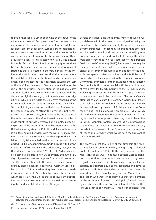<span id="page-10-0"></span>to social theorist à la Ulrick Beck, who at the dawn of the millennium spoke of "Europeanization" as "the return of a metapower". On the other hand, faithful to the ordoliberal ideology present at its birth, Europe aims to delegate direct control and exploitation of the productive forces involved in this transformation to the private sector. Then, a question arises: is this strategy new at all? The answer is simple: Brussels lines of action not only give continuity, but also exacerbate previous industrial development strategies that are located in the very genesis of the Union. And what is more: they cancel all the debates about the suitability of these institutional roads (the monetary

union along Maastricht, the expansion towards the East or the fateful implications of German reunification for the rest of the countries). The intention of the national elites and their leading Euro-conformist propagandists with the debate on digital sovereignty is to create a common signifier on which to articulate the collective concerns of the main capitals, mostly about the power of the so-called Big Tech, which it gravitates on the their loss of influence in the world. Of course, to attend this event it is not necessary to look at Silicon Valley, but rather at the rotten state of the trade balance and therefore the national economies of most countries outside Germany. For example, just focusing on one of the pillars in the digital economy, in 2018 the United States registered a 178 billion dollars trade surplus in digitally-enabled services with the world. Its main commercial partner was Europe, to which it exported over 213 billion in digitally enabled services and from which it imported 120 billion, generating a trade surplus with Europe in this area of 93 billion. On the other hand, that year the United States accounted for 32% of the EU's digitally-enabled services exports to non-EU countries, and 39% of EU digitally-enabled services imports from non-EU countries. The EU member state with the largest estimated value of digitally-enabled services exports was Germany (189.8 billion of dollars).27 It is worth noting that there are no trade instruments in the EU's toolbox to correct the economic weakness vis-à-vis the United States because any political intervention in the economy does not arise from jeopardising the fundamental pillars of the EU project.

Beyond the essentialist and identity rhetoric to which vulgar debates within the union about migration policy are accustomed, the EU is fundamentally the result of three important instruments of economic planning that emerged and imbued so much with Keynesianism prevailing economic economy in the middle of the last century: the Schuman plan (1950) that two years later led to the [European](https://es.wikipedia.org/wiki/Comunidad_Europea_del_Carb%C3%B3n_y_del_Acero)  [Coal and Steel Community](https://es.wikipedia.org/wiki/Comunidad_Europea_del_Carb%C3%B3n_y_del_Acero) (1952), illuminated precisely by the insecurities of France, who it demanded shared sovereignty over common resources as an antidote to the possible resurgence of German militarism; the 1957 Treaty of Rome, which that same year led to the European Economic Community and years later to the European Atomic Energy Community, both born in parallel with the establishment of free access for French industry to the German market. Following the most accurate historical analysis, ultimately several events could be mentioned: Charles de Gaulle's attempts to consolidate the Common Agricultural Policy to establish a kind of exclusive protectionism for French farmers, followed by the veto of British entry into the Community, and The Luxembourg Compromise (1966), which blocked majority voting in the Council of Ministers, granting in practice more powers than they should have; the European Monetary System, created as a counterweight to the effects of the failure of the Bretton Woods System, outside the framework of the Community at the request of France and Germany, which would have the approval of the Commission.28

The processes that took place at that time laid the foundations for the common market, giving it a quasi-federal political structure in 1993 with the entry into force of the Maastricht Treaty. Quasi in as much as there were supranational political instruments endowed with a strong power to guide the executive direction and courts with sufficient capacity to suppress any national legislative initiative, as well as a strictly federalist and technocratic component advanced in a rather Orwellian way by Jean Monnet's men. The leader, who went on to point out that "the elements of the economy, finance or social policy" would never again take place through "vertical integration", but rather "should begin to be horizontal."29 This historical character is

<sup>27</sup> Daniel S. Hamilton, and Joseph P. Quinlan, "The Transatlantic Economy 2020: Annual Survey of Jobs, Trade and Investment between the United States and Europe" (Washington D.C.: Foreign Policy Institute, Johns Hopkins University SAIS, 2020) 32-33.

<sup>28</sup> Perry Anderson. *El viejo nuevo mundo* (Madrid: Akal, 2009), 24-27.

<sup>29</sup> Jean Monnet. *Memoirs. 1976*. (London: Profile Books), 401.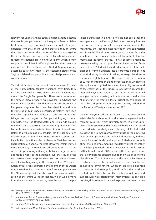

relevant for understanding today's digital Europe because the people grouped around the integration faced a dialectical moment: they conceived their own political project, different from that of the United States, although aware that they constituted the bastion of this country against the Soviet Union. However, both the French, who wanted to dethrone nationalism, holding Germany, which in turn sought to consolidate itself as a power, had their own project, in which the newly acceded United Kingdom swung according to its own interests; the economic status of the Six, consolidated as a geopolitical rival, bled postwar social commitments.

This short history is important because even if many of these integration failures worsened over time, they reached their peak in 1986, when the Delors cabinet promoted the Single European Act. These were times when the famous 'bicycle theory' was invoked to advance the domestic market, the claim that once the advancement of European integration had been launched, it would have to continue at high speed because, as history showed, if the 'bike' stopped, it was difficult to start over. In the digital age, one could argue that Europe is still trying to pedal a bicycle, while the United States and China ride around the world on a supersonic motorbike. Arguments crafted by public relations experts led to a situation that allowed Delors to persuade national leaders into the deliberations of the European Council, win Franco-German support, and have British objections silenced because Thatcher favored liberalization of financial markets. However, Delors wanted more. Backed by the French and other countries, it had succeeded in promoting a dialogue between large business and trade unions at the European level that could, if the two parties deem it appropriate, lead to relations based on collective bargaining at the European level.<sup>30</sup> The evolution of this event, expressed by a member of the Delors Administration, illustrates what the European project was like: "It was supposed that this would provoke a politicization of the entire European debate, which would move from the economy to the social, then the social to the po-

litical. I think that in doing so, we did not see either the enlargement of the East or globalization. Nobody foresaw that we were trying to make a single market and, in the meantime, the technological revolution and commercial and financial liberalization were going to transform the situation…. the European Industrial Roundtable has not maintained its former status… It has become a machine, now replaced by the octopus of mixed American and European lobbies. "31 Indeed, the individual interests of the multinationals turned Brussels into a corporate paradise, not a political entity capable of making strategic decisions in the course of globalization.32 This means that the definition of European integration along corporate lines, which were also quite short-sighted, truncated the ability to respond to the challenges of the future. Europe never became the intended Keynesian paradise, but rather an institutional amalgam with a monetary union focused on the doctrine of monetarist orientation (fiscal discipline, avoidance of moral hazard, prioritization of price stability, included in the Maastricht Treaty, concluded in 1992) .

Despite everything, the EU is pleased to have been able to establish a federal model of productive management for its member countries, which is timidly exercised by the European Commission (EC). This executive body was conceived to coordinate the design and planning of EU industrial policies.33 The Commission's activity must be read in terms of economic planning and political direction by indirect means (or a soft horizontal approach), dedicated to initiating laws and implementing regulatory directives rather than defying free trade dogmas. However, it should be noted that from the mid-1980s onwards, the concept of industrial policy became obsolete due to the wave of economic liberalisation. That is, the idea that the most effective way to achieve a successful industry was to ensure an effective competitive environment, which in practice amounted to having no industrial policy at all. In fact, this word was treated until relatively recently as a taboo, old-fashioned subject, widely associated with interventionist supply-side policies, dirigisme, and state aid to protect declining indus-

<sup>30</sup> George Ross and Jane Jenson. "Reconsidering Jacques Delors' Leadership of the European Union". *Journal of European Integration*, 39 no. 2 (2017): 113-127.

<sup>31</sup> International Trade, Corporate Lobbying, and the European Political Project: A Conversation with Pierre Defraigne. *Corporate Europe Observatory*. April 22, 2015.

<sup>32</sup> *Europa, SA: La influencia de las multinacionales en la construcción de la UE. (*Madrid: Icaria, 2002), 45-99.

<sup>33</sup> Neill Nugent and Mark Rhinard. *The European Commission*. (London: Bloomsbury, 2015).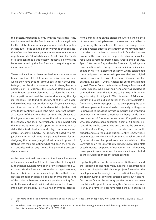trial sectors. Paradoxically, only with the Maastricht Treaty was it attempted for the first time to establish a legal basis for the establishment of a supranational industrial policy (Article 130). In the end, the priority given to the liberalization of sectors that in many member states operate as monopolies (Article 90, which became Article 86 in the Treaty of Nice) meant that, paradoxically, industrial policy was de facto neutralized by the first European treaty that granted it a certain status.34

These political inertias have resulted in a sterile supranational structure, at least from an executive point of view, which they have tried to camouflage under various subterfuges, but the aim has always been to strengthen economic union. For example, the European Union launched an ambitious ten-year plan in 2010 to close the gap with its competitors and lead the race for dominating the digital economy. The founding document of the EU's digital industrial strategy was entitled *A Digital Agenda for Europe* and it set out some of the fundamental objectives that even today continue to guide the most important industrial strategies of the EU member countries. The objective of this Agenda was to chart a course that allows maximizing the economic and social potential of ICTs, and in particular the Internet, as an essential support for economic and social activity: to do business, work, play, communicate and express oneself in Liberty. The document posed two major challenges: establishing a single digital market for and designing the necessary legal infrastructure to govern it. Nothing less than promoting what had been tried for several decades without any success, but giving this process a digital surname.

As the organisational structure and ideological framework of the monetary system (closer to Hayek than to the quickly abandoned Keynes) have been a key element of the Eurozone crisis, the European proposal for a digital economy has been built on that very same logic. Given that the architects left aside the possible socioeconomic implications of the dialectic between monetary policies coming from central banks and fiscal policies, decisions such as those to implement the Stability Pact have had enormous socioeco-

nomic implications on the digital era. Altering the balance of power relationship between the state and central banks by reducing the capacities of the latter to manage money and finances affected the amount of money that many countries could redirect to innovation. In fact, this has also produced the fiscal crisis in the peripheral countries of Europe such as Portugal, Ireland, Italy, Greece and, of course, Spain.35 We cannot forget that the European digital agenda came at a time when Europe's only remaining political imagination was to implement austerity, which constrained these peripheral territories to implement their own digital policies, sovereign to those of the Franco-German axis. For example, in Spain, A Digital Agenda for Europe was signed by José Manuel Soria, the Minister of Energy, Tourism and Digital Agenda, who privatised Aena and was accused of commodifying even the Sun due to his links with the energy industry; José Ignacio Wert, Minister of Education, Culture and Sport, but also author of the controversial 'Informe Wert', a reform proposal based on imposing the education-employment ratio, aimed at drastically cutting public universities, boosting private campuses and imposing undemocratic governance methods on them; Luis de Guindos, Minister of Economy, Industry and Competitiveness who demanded a bank bailout for Spain of 50 billion, privatised the public bank Bankia and thus set the economic conditions for shifting the costs of the crisis onto the public budget; and also the public business entity red.es, whose director César Miralles came from the National Institute of Cybersecurity and had previously been an advisor to the Commission on the Smart Digital Future. Given such a staff of technocrats, composed of neoliberals and solutionists, can anyone imagine what was the real meaning attributed to the keyword "connection" in that agenda?

Highlighting these events becomes essential to understand the spending ceiling that many national economies face when pursuing industrial plans or projects focused on the development of technologies such as artificial intelligence, the chip industry or any other strategic sector. But it also reflects other factors: the austerity policies imposed on many countries in the periphery to strengthen European economic unity at a time of crisis have forced them to outsource

<sup>34</sup> Jean-Marc Trouille. "Re-inventing industrial policy in the EU: A Franco-German approach," *West European Politics* 30, no. 3 (2007): 508.

<sup>35</sup> Saurabh Kumar, "European Monetary System and the Fiscal Crisis: The Ideology, Institution and the Policy," *India Quarterly: A Journal of International Affairs* 68 no. 2 (2012): 201.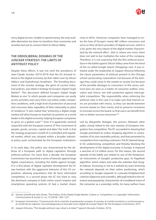

<span id="page-13-0"></span>every digital service. Unable to spend money, the only available alternative has been to transform their economies and societies but just to connect them to Silicon Valley.

# **THE ORDOLIBERAL DOGMAS OF THE JUNCKER STRATEGY: THE LIMITS OF ANTITRUST POLICY**

Despite these efforts, it was not until the presidency of Jean-Claude Juncker (2014-2019) that the EU showed interest in the digital economy, by then taken over by Silicon Valley's and Guanzhong's leviathans . The founding document of the Juncker strategy, the germ of current industrial policies, was titled *A Strategy for Europe's Digital Single Market*36. This document defined Europe's Digital Single Market as one "in which people and companies can easily access activities and carry them out online under competitive conditions, with a high level of protection of personal and consumer data, regardless of their nationality or place of residence." It also stated that "achieving a digital single market will allow Europe to maintain its position as a world leader in the digital economy, helping European companies to grow on a global scale."<sup>37</sup> Even if it apparently seemed respectful with the European mantra of "free movement of people, goods, services, capital and data," the truth is that the strategy proposed a model of a controlled and regulated market, which was situated within a broader industrial policy push orchestrated by the European institutions.

In its early days, this policy was characterised by the defense of a European path to digital capitalism through antitrust policies. For more than a decade, the European Commission has launched a series of lawsuits against large digital corporations, including the battle against Google. If in a first phase of digital capitalist development the EC was hesitant with the aggressive behavior of this US corporation, allowing acquisitions that de facto eliminated competition, in a second phase the EC has tried to stop the dominant company in both online search engines and smartphone operating systems (it had a market shares

close to 85%). American companies have managed to enter the lives of Europe's nearly 485 million consumers and serve as their *de facto* providers of digital services, which is a lot, given the very nature of the digital market characterized by the *network effect* , that is, where one more client does not add to but multiplies the value of the company. Therefore, it is not surprising that the first antitrust procedure in the battle against Silicon Valley came from the hand of the so-called Google Search (Shopping) case. It was initiated under the leadership of Joaquín Almunia following the classic parameters of antitrust present in the Chicago school: persecuting corporations not because of the damage they could cause in the market or society but because of the possible damages to consumers. In this sense, antitrust laws are seen as a matter of consumer welfare, innovation and choice, not with protection against intercapitalist competition. "My responsibility when enforcing the antitrust rules in this case is to make sure that Internet users are provided with choice, so they can decide between services based on their merits, and to preserve incentives to innovate across the board, so that users can benefit from new or better services tomorrow".38

Led by Margrethe Vestager, the process followed other paths, closely linked to the very mantras of European integration: free competition. The EC succeeded in showing that Google prioritized its online shopping algorithm in contravention of its own neutrality policies, and that prevented its competitors from reaching customers. The EC blamed Google for undermining competition and thereby blocking the development of the digital economy in Europe. It imposed a sanction of 2.4 million euros. For this reason, the second episode of the battle was related to one of the fundamental instruments of Google's productive gear, its PageRank algorithm, which orders and ranks the websites that Google indexes. Accessing or not to a website by users browsing the network depends on their online positioning, which according to Google responds to a pseudo-Enlightenment criterion (objective and scientific), although linked to the relevance and popularity, characteristic of a neoliberal vision of the consumer as a sovereign entity. As many authors have

<sup>36</sup> Simone Schroff and John Street, "The Politics of the Digital Single Market: Culture vs. Competition vs. Copyright," *Information, Communication & Society* 21, no. 10 (2018): 1305-1321.

<sup>37</sup> European Commission, "Comunicación de la comisión al parlamento europeo, al consejo, al comité económico y social europeo y al comité de las regiones. Una estrategia para el mercado único digital de europa" Report for the European Commission, 2015.

<sup>38</sup> Joaquin Almunia, "The Google antitrust case: what is at stake?" (speech, Brussels, October, 2013).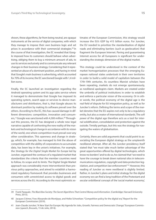shown, these algorithms, far from being neutral, are opaque instruments at the service of digital companies, with which they manage to impose their own business logic and set prices in accordance with their commercial strategies.39 In the course of that investigation, the EC revealed that Google imposed how its customers should behave when advertising, obliging them to buy a minimum amount of ads, to use its services exclusively and to communicate any relevant changes in their business strategy. Considering that it represented an abuse of a dominant position, and having in mind that Google's main business is advertising, which accounted for 70% of its income; the EC sanctioned Google with 1,4 mil-

lion euros.

Finally, the EC launched an investigation regarding the Android operating system and its app sales service where it managed to demonstrate that Google has imposed its operating system, search apps or services to device manufacturers and distributors, that is, that Google abuses its dominant position by making its software prevail over the others. According to the EC, this has caused damage in different dimensions: competition, innovation and consumers, <sup>so</sup> Google was sanctioned with 4,300 million.<sup>40</sup> Throughout this process, the EC has designed a whole new legal narrative capable of confronting the new reality of the markets and technological change in accordance with its vision of the world, one where competition must prevail over any other consideration. This openness and change in strategy, which, for example, has managed to link the abuse of competition with the ability of corporations to accumulate data, has been key in the union's initiatives. For example, the *Strategy for the Digital Single Market for Europe* led by Juncker*,* organized the contours of a regulated market that standardizes the criteria that the member countries need to follow, its scope and its limits. The Digital Single Market approach was considerably more interventionist than previous policy approaches, and aimed to establish a harmonized regulatory framework that provides businesses and consumers with unrestricted access to digital goods and services across the EU. According to the most optimistic es-

timates of the European Commission, this strategy would increase the EU's GDP by 415 billion euros. For Juncker, the EU needed to prioritize the standardization of digital roads and eliminating barriers (such as geolocation) that fragment the European Internet. Paving and guaranteeing Internet access for all Europeans is significant for understanding the strategic dimension of the digital market.

This strategy could be understood in the context of the market homogenization processes that the emerging European national states undertook in their own territories in order to build a solid model of capitalism between the 17th-19th centuries. As countless Marxist scholars have been repeating, markets do not emerge spontaneously, as neoliberal apologists claim. Markets are created under the umbrella of political institutions in order to establish and enforce a particular vision of the economy. Or in other words, the political economy of the digital age is the real field of dispute for EU integration policy, as well as for Juncker's reform. Defining the terms and scope of the market denotes that the EU aspires not only to be a regulatory entity, but also a creator of international standards. The *soft power* of the digital age therefore acts as a tool for internal solidification, consolidation and protection against the outside. Timidly perhaps, but this was the strategy for navigating the waters of globalisation.

Certainly, there are solid arguments that could point to associating the European digital strategy as the umpteenth neoliberal attempt. After all, the Juncker presidency itself stated that "we must take much better advantage of the great opportunities offered by digital technologies, which know no borders" and to do so, he claimed that "we need to have the courage to break down national silos in telecommunications regulation, copyright and data protection legislation, and competition law enforcement"<sup>41</sup> However, this reading of Juncker as mere neoliberal is slightly limited. Rather, in Juncker's plans and initial strategy for the digital economy we can find a long tradition of the Protestant and secular ordoliberal concept of the 'social market economy',

<sup>39</sup> Frank Pasquale. *The Black Box Society: The Secret Algorithms That Control Money and Information*. (Cambridge: Harvard University Press, 2015).

<sup>40</sup> Jacques Crémer, Yves-Alexandre de Montjoye, and Heike Schweitzer. "Competition policy for the digital era," Report for the European Commission (2019).

<sup>41</sup> Jean-Claude Juncker, "A New Start for Europe: My Agenda for Jobs, Growth, Fairness and Democratic Change," European Commission (speech, Brussels, 15 de Julio, 2014).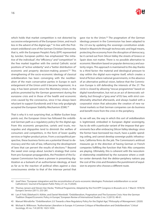

which holds that market competition is not distorted by successive enlargements of the European Union, and much less in the advent of the digital age.<sup>42</sup> In line with the Protestant ordoliberal core of the German Christian Democrats, that is, with the European People's Party (EPP) represented by Juncker, European politics has emphasized "the initiative of the individual", the "efficiency" and "competition" in the free market together with the central Catholic social positions of "active solidarity" and a "better distribution of' economic and property decision-making powers".43 This strengthening of the socio-economic ideology of classical ordoliberalism has been converging with the neoliberalism of the main conservative parties in Europe in each enlargement of the Union until it became hegemonic. In a way, it has been present since the Monetary Union, in the policies promoted by the German government during the eurozone crisis and in those of the health and economic crisis caused by the coronavirus, since it has always been reluctant to support Eurobonds and it has only grudgingly accepted the European Stability Mechanism (ESM).<sup>44</sup>

That is why it is not surprising that, as Walter Eucken boys points out, the European Union has followed the ordoliberal German path as a regulatory policy for the digital age. From this economic perspective, cartels and trusts, monopolies and oligopolies tend to diminish the welfare of consumers and competitors, in the form of lower quality services or higher product prices. From a sociopolitical perspective, these business forms are a potential threat to democracy and the rule of law, influencing the development of laws that can pervert the results of elections.<sup>45</sup> Beyond the sweet siren songs about Juncker's strategy that come from pro-European propagandists, the President of the European Commission has been a pioneer in presenting digitization as a bulwark of an authoritarian ideology, at least as far as to the reaction of political elites against a class consciousness similar to that of the interwar period that

gave rise to the Union.<sup>46</sup> The pragmatism of the German ideology present in the Commission has been adapted to the 2.0 era by updating the sovereign constitution established in Maastricht through technocratic and legal means, protecting the economy from the disruption of democracy, be it carried out from Silicon Valley the streets of Greece or Spain does not matter. There is no possible alternative to economic liberalism based on popular democracy and austerity reigns. This approach is maintained to this day thanks to a third factor: the material and ideological pressure to stay within the digital euro-regime itself, which creates a kind of fiction where national governments, in the absence of an alternative political vision, believe that the Commission Europe is still defending the interests of the 27. The circle is closed by allowing "rescue programmes" based on digital transformation, but not as an act of democratic solidarity, but through a "grey area" of EU law, with strict conditionality attached afterwards, and always loaded with a corporatist vision that advocates the creation of new national markets so that German companies can do business and benefit more from the crisis in the periphery.

As we will see, the way in which this sort of ordoliberalism is legitimized, embodied in European digital sovereignty, has to do with a particular variant of the impasse that governments face after embracing Silicon Valley ideology: since the former have borrowed too much, have a public spending ceiling, and cannot develop sovereign public infrastructure, California firms do the job. The Commission's antitrust measures go in the direction of having German or French companies fulfilling the function that Palo Alto companies are playing. Ultimately, this is coherent with the neocolonial relationship established by the eurozone where a creditor-center demands that the debtor-periphery nations pay the cost of the crisis and threatens the punishment of expulsion to anyone who chooses a different route.

<sup>42</sup> Josef Hien, "European integration and the reconstitution of socio-economic ideologies: Protestant ordoliberalism vs social Catholicism," *Journal of European Public Policy* 27, no. 9 (2020).

<sup>43</sup> Thomas Jansen and Steven Van Hecke, "Political Programme, Adopted by the First EPP Congress in Brussels on 6–7 March 1978,"At Europe's Service (2011): 253-281.

<sup>44</sup> Lars P. Feld, Ekkehard A. Köhler, and Daniel Nientiedt. "Ordoliberalism, Pragmatism and The Eurozone Crisis: How the German Tradition Shaped Economic Policy in Europe," *European Review of International Studies* 2 no. 3 (2015): 48-61.

<sup>45</sup> Manuel Wörsdörfer. "Ordoliberalism 2.0: Towards a New Regulatory Policy for the Digital Age," *Philosophy of Management*. (2020)

<sup>46</sup> Michael A. Wilkinson. "Authoritarian Liberalism in Europe: A Common Critique of Neoliberalism and Ordoliberalism." *Critical Sociology*, 45 no. 7-8 (2019): 1023-1034.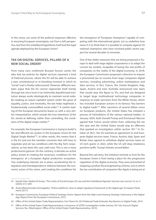<span id="page-16-0"></span>In this sense, are some of the political responses effective in ensuring European sovereignty, not from a left perspective, but from the ordoliberal hypothesis itself and the legal agenda deployed by the European Union?

# **TAX ON DIGITAL SERVICES, PILLARS OF A NEW SOCIAL ORDER?**

From many euro conformist Brussels forums comes the idea that tax policies for digital services represent a kind of fraternal process, where the EU will be able to achieve a new constitutional or re-founding moment in which its "social" soul is finally rediscovered. However, different analyzes argue that the EU cannot regenerate itself merely through law since trust in an inherently depoliticized institution always works ideologically to maintain social order. By cloaking an unjust capitalist system under the guise of equality, justice, and neutrality, the law helps legitimize a fundamentally commodified social order.<sup>47</sup> A careful reading of the European documents leaves us with a very similar interpretation, which reveals the true intentions of the EU, aimed at defining, rather than controlling, the conditions of the digital single market.<sup>48</sup>

For example, the European Commission is trying to build "a fair and efficient tax system in the European Union for the Digital Single Market"49. In other words, this means that it is the EU and not the member countries that will have to negotiate and set tax conditions with the Big Tech corporations, as has been the case until now. This is not a mere protectionist gesture. On the contrary, it denotes an active policy aimed at creating the necessary conditions for the emergence of a European digital productive ecosystem. Two underlying interests are in place: accelerating the integration and interdependence relations between the economic actors of the union, and creating the conditions for

the emergence of "European champions" capable of competing with the international giants. Let us underline how naive it is to think that it is possible to compete against US national champions who have received public sector support for several decades to innovate.

One of the stellar measures that are being proposed in Europe to deal with large digital corporations is to adapt the current tax models, incapable of taxing the real profits of companies, to the reality of the digital economy. In 2018, the European Commission proposed a directive to impose a provisional tax on income from large companies digital services, including advertising, online marketplaces and data services. In fact, France, the United Kingdom, Italy, Spain, Austria and even Australia announced new taxes that would raise the figure to 3%, and that are designed to target large multinational technology companies in response to trade sanctions from the White House, which has included European actions in its famous "key barriers to digital trade."<sup>50</sup> After sanctions of several billion euros on European products, the United States has initiated a process of intimidation of the various national leaders. In January 2020, both Donald Trump and Emmanuel Macron agreed that France would refrain from collecting the tax this year and the United States would stop an offensive that sparked an investigation within section 301.51 In October of 2021, the US reached an agreement to end European digital services taxes. France, Austria, Italy, Spain and Britain have agreed to withdraw digital services taxes on US tech giants in 2023, while the US will drop retaliatory punitive tariffs. Trump's threats served Biden.

Beyond this sad story, the initiative reminds us how far the European Union is from being a place for the progressive regulation of the digital economy. They were prevented of stopping a profuse fiscal engineering scheme, one in which the tax contribution of companies like Apple is being set at

- 50 Office of the United States Trade Representative, Fact Sheet On 2019 National Trade Estimate: Key Barriers to Digital Trade, 2019.
- 51 Office of the United States Trade Representative, Conclusion of USTR's Investigation Under Section 301 into France's Digital Services Tax, (Washington: Office of the United States Trade Representative, 2019).

<sup>47</sup> Gareth Dale, Nadine El-Enany. "The Limits of Social Europe: EU Law and the Ordoliberal Agenda." *German Law Journal* 14, no. 5 (2020): 613–649.

<sup>48</sup> Aneta Wiewiórowska-Domagalska, "Online platforms: How to adapt regulatory framework to the digital age." European Parliament (2017).

<sup>49</sup> European Commission, European Political Strategy Centre. Report from the High-Level Hearing 'Strategic Autonomy in the Digital Age', Report from the European Commission, 2012.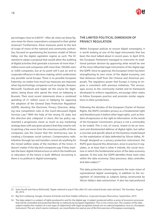<span id="page-17-0"></span>percentages close to 0.005%<sup>52</sup>. After all, what can these figures mean for these corporations compared to their global revenues? Furthermore, these measures point to the lack of scope of vision of the national and community authorities, focused on questioning the business model of Silicon Valley, not the digital capitalism regime as such. The EC wanted to adopt a proposal that would allow the auditing of digital activities that generate a turnover of more than 7 million euros and companies with more than 100,000 users or 3,000 companies, but at no point will it put an end to corporate influence in decision-making, which undermines any possible social Europe. There is no possible European fraternity, no matter how much tax measures are imposed, when big technology companies such as Google, Amazon, Microsoft, Facebook and Apple set the course for digitization, being those who spend the most on lobbying in Brussels. Their most recent statements show a combined spending of 21 million euros in lobbying for opposing the adoption of the General Data Protection Regulation (GDPR), blocking the Electronic Privacy Directive, delaying new competition rules or the much-discussed Digital Services Law.53 With the help of the strong US state, but this directive also collapsed. In short, this tax policy represented a progressive vision as much as any marketing strategy does with any given product that they need to sell. Scratching a few euros from the enormous profits of these companies was the closest that this technocracy was to creating a European social contract. Compensatory redistribution through tax and transfers cannot do anything for the mined welfare states of the members of the Union. It doesn't matter if the big tech companies pay if they maintain the basic digital infrastructure on which the healthcare or education of the future is built. Without recovering it, there is no political or digital sovereignty.

# **THE LIMITED POLITICAL DIMENSION OF PRIVACY REGULATION**

Within European policies to ensure digital sovereignty, it is worth looking at one of the legal instruments that has been the most talked about in recent years. In April 2016, the European Parliament managed to overcome its traditional partisan division by approving what would be one of the most influential legal instruments of the digital age: the GDPR. Since its approval, the European Union has been strengthening its own vision of the digital economy, one that distances itself from the Chinese and American proposals. The regulatory power that Europe is trying to impose is consistent with previous initiatives. This encourages access to the community market and its framework developed to enforce regulations, encourage other states to follow European practice and promote similar regulations in other jurisdictions.

Following the dictates of the European Charter of Human Rights, the RGPD considers privacy as a fundamental right and therefore puts it before other legal rights, such as freedom of expression or the right to information. In the words of the European Commission: privacy is not a commodity to be traded. This is not, of course, meant to be an innocent and disinterested defense of digital rights, but rather a concrete and specific attack on the business model based on the exploitation of data defended by Silicon Valley. Although designed as a privacy protection instrument, the RGPD goes beyond this dimension, since in practice it regulates, or at least that is what it intends, the social structure in which the fundamental actors of the data economy operate. To this end, the GDPR identifies three main roles within the data economy: Data processor, data controller, and data subject.<sup>54</sup>

This data protection scheme represents the main vision of supranational digital sovereignty, in addition to the recognition of citizenship as subjects being constructed by Silicon Valley's data extractivism. It also has had profound

<sup>52</sup> Sean Farrell and Henry McDonald, "Apple ordered to pay €13bn after EU rules Ireland broke state aid laws," *The Guardian*, August 30, 2016.

<sup>53</sup> Big Tech Lobbying: Google, Amazon & friends and their hidden influence. *Corporate Europe Observatory*. September, 2019.

<sup>54</sup> The data subject is a subject of rights produced in and for the digital age. A subject produced within a series of economic processes that will be controlled and protected directly or indirectly by European legislation. This is not a minor fact. The creation of the data subject implies the creation of a new type of subjectivity with legal recognition based not on national legislation, but on a European instrument. This act, which seems irrelevant, can nevertheless be read as one of the first exercises of European sovereignty.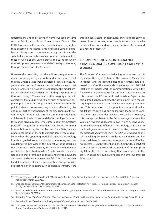<span id="page-18-0"></span>repercussions and replications in numerous legal systems such as Brazil, Japan, South Korea or New Zealand. The RGDP has become the standard for defining privacy rights, thus becoming the lingua franca or Magna Carta of digital law in this key area of the new economy. In this way, despite lacking infrastructures or corporations comparable to those of China or the United States, the European Union tries to impose a governance model of the digital economy through the exercise of soft-power.

However, the possibility that this will lead to greater economic autonomy is highly doubtful due to the mere fact that the United States won't develop a federal privacy regime similar to the European model, which means that many processes will have to be adapted to the model protection of California, which will entail a high expenditure of time and money.<sup>55</sup> There are also other weighty economic constraints that public entities face, such as enormous corporate pressure against regulation.<sup>56</sup> In addition, from the point of view of consumers, they are also affected by the enormous lack of transparency of the black boxes of the algorithms, insurmountable through community regulation, as inherent in the business model of technology firms and the market driven by data, where information asymmetries prevail.57 The question is whether a regulation, no matter how ambitious it may be, can be used for a State, or a supranational group of them, to exercise some type of regulation when the operating model of capitalist technology firms is so guided towards extraction, monitoring and manipulating the behavior of the subject without attacking their sources of profits. That is, the question is whether it is possible to establish a law, when "capital, codified in law, is left free so that profits can be made and stored anywhere and losses can be left wherever they fall."58 And on the other hand, the alliance of states (many of them European) with big technology in matters such as defense infrastructure

through contracts for cybersecurity or intelligence services leaves little or no margin for people to resist and invoke individual freedom and use the mechanisms of checks and balances to protect it.<sup>59</sup>

# **EUROPEAN ARTIFICIAL INTELLIGENCE STRATEGY, DIGITAL SOVEREIGNTY OR EMPTY WORDS?**

The European Commission, believing to have seen in this regulation the highest stage of the power of *the loi* [law, in French] and the potentialities that it entails, has proposed to define the standards in areas such as Artificial Intelligence, digital work or communications within the framework of the Strategy for a Digital Single Market. In this context, the EC has published its White Paper on Artificial Intelligence, outlining the key elements of a regulatory regime adapted to this new technological phenomenon. This declaration of principles, the one most aimed at digital sovereignty, has only taken true shape since Commissioner Ursula Von der Leyden took the lead. However, this concept has been on the European agenda since the Wikileaks revelations became known, which beyond verifying the involvement of large US technology companies in the intelligence services of many countries, revealed how the National Security Agency The NSA wiretapped phone calls involving German Chancellor Angela Merkel and her closest advisers for years and who spied on the staff of her predecessors. On the other hand, the Cambridge analytical scandal once again exposed the fragility of the European digital public sphere, something that was reflected in the press, in academic publications and in numerous internal EC reports.<sup>60</sup>

<sup>55</sup> Thomas Hoeren and Stefan Pinelli, "The New Californian Data Protection Law – In the Light of the EU General Data Protection Regulation". March 20, 2020.

<sup>56</sup> Shannon Togawa Mercer. "The Limitations of European Data Protection As A Model for Global Privacy Regulation." *American Society of International Law* 114 (2020): 20-25.

<sup>57</sup> Peter J. van de Waerdt. Information Asymmetries: Recognizing the Limits of the GDPR on the Data-driven Market. *Computer Law & Security Review* 38 (2020).

<sup>58</sup> Katharina Pistor. *The Code of Capital: How the Law Creates Wealth and Inequality*. (New Jersey: Princeton University Press, 2019), 9.

<sup>59</sup> Katharina Pistor. "Statehood in the digital age," *Constellations* 27, no. 1 (2020): 3-18.

<sup>60</sup> "European Parliament resolution on the use of Facebook users' data by Cambridge Analytica and the impact on data protection." Report from European Parliament, 25 October, 2018.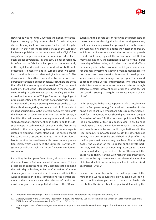

However, it was not until 2020 that the notion of technological sovereignty fully entered the EU's political agenda, positioning itself as a compass for the rest of digital policies. In that year the research service of the European Parliament published a document entitled *A Digital Sovereignty for Europe*, becoming the founding text of European digital sovereignty. In this text, digital sovereignty is defined as the "ability of Europe to act independently in the digital world, and must be understood both in its protectionist dimension and in Europe's offensive capacity to build tools that accelerate digital innovation."61 The document identifies three types of problems derived from European technological dependence. First, there are those that affect the economy and innovation. The document highlights that Europe is lagging behind in the race to develop key digital technologies such as *clouding*, 5G and 6G, as well as the Internet of Things. The second typology of problems identified has to do with data and privacy issues. As mentioned, there is a growing awareness on the part of the authorities regarding corporate control of the data of millions of users. Finally, the strategic document highlights the dimension of security in the cyber age. In this sense, it identifies the main areas where legislators and politicians should accentuate their attention in order to build the desired European technological sovereignty. The first area is related to the data regulatory framework, where aspects related to clouding services stand out. The second aspect has to do with trust and standards. The third and fourth blocks point to the need to establish an economic protection shield, which could feed the European start-up ecosystem, as well as establish a fair tax framework for foreign corporations.

Regarding the European Commission, although there are discordant voices (Internal Market Commissioner Thierry Breton emphasizes the need for EU companies to be among the main digital leaders, while the Competition Commissioner argues that companies must compete within if they want to succeed in global competition), the central element of the strategy is clear: the relations of production must be organized and negotiated between the EU insti-

tutions and the private sector, following the parameters of the social market ideaolgy that inspires the single market, the true articulating axis of European policy.<sup>62</sup> In this sense, the Commission's strategy adopts the Vestager approach, which in the literature is called the horizontal approach to industrial policy against the vertical one that Breton maintains. Roughly, the horizontal is typical of the liberal mentality of laissez-faire, which directs all political efforts in creating a favorable economic and legal environment for business investment, allowing market mechanisms to do the rest to create sustainable economic development where businesses can emerge and prosper. The second conception is the 'vertical' interpretation, where the nation state intervenes to preserve corporate structures through selective sectoral interventions in order to protect sectors perceived as strategic, save jobs and create "national champions".

In this sense, both the White Paper on Artificial Intelligence and the European strategy for data limit themselves to defining a series of key elements of a future regulatory framework for AI in Europe, which should give rise to an unique "ecosystem of trust". As the document points out, "building an ecosystem of trust is a political goal in itself, and it should give citizens the confidence to use AI applications and provide companies and public organizations with the legal certainty to innovate using AI." On the other hand, it argues, measures must be established to align efforts at the European, national and regional level. The underlying goal is the creation of the so called public-private partnerships, with the aim of mobilizing resources to achieve the now called "ecosystem of excellence" throughout the entire value chain, starting with research and innovation, and create the right incentives to accelerate the adoption of AI-based solutions, including small and medium-sized enterprises (SMEs).<sup>63</sup>

In short, one more step in the Horizon Europe project, the metaphor is worth as evidence, only by taking up the notion of public-private partnership to adapt it to fields such as robotics. This is the liberal perspective defended by the

<sup>61</sup> Tambiama Andre Madiega, "Digital sovereignty for Europe". Report from the European Parliament, 2020.

<sup>62</sup> Claassen, Rutger, Anna Gerbrandy, Sebastiaan Princen, and Mathieu Segers. "Rethinking the European Social Market Economy", *JCMS: Journal of Common Market Studies* 57, no. 1 (2019): 3-12.

<sup>63</sup> "White Paper: On Artificial Intelligence – A European approach to excellence and trust". Report from the European Commission, 2020.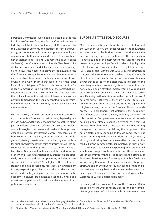<span id="page-20-0"></span>European Commission, which can be traced back to the first Franco-German Congress for the Competitiveness of Industry that took place in January 2004, organized by the Ministries of Economy and Industry of France and Germany, in cooperation with the most powerful employers' organizations both countries and France (Bundesverband der deutschen Industrie and Mouvement des Entreprises de France), the Confederation of French Chambers of Industry and Commerce and 300 experts and senior managers to discuss the need to improve the framework in the that European companies operate, and define a series of joint objectives to promote the bilateral relations of both countries in a way similar to that read in The White Paper for Artificial Intelligence. This not only means that the European Commission is an expression of the somewhat outdated interests of the Franco-German axis, but that given the political form of this institution it becomes almost impossible to transcend the usual technological modernization of intervening in the economy indirectly by any other member state.

For this reason, the joint position of the Franco-German axis to promote a European industrial policy is paradigmatic. Both go beyond the usual toolbox and point three of the joint manifesto envisages effective measures to "defend our technologies, companies and markets." Among them, expanding foreign investment control mechanisms, as both countries already have, to protect Europe's technologies and strategic assets; effective reciprocity mechanisms for public procurement with third countries to take into account factors other than price, that is, to deliver awards to French and German multinationals; and the modernization of the World Trade Organization regulations to more effectively combat trade-distorting practices, including excessive subsidies to industry.<sup>64</sup> At first glance, this joint understanding of digital sovereignty represents a new paradigm in the perspective prevailing during the last decades, and would mark the beginning of a decisive intervention in the economy to ensure pre-eminence over the Chinese and American competitors, who had spent decades mobilizing policies of a similar tint.

# **EUROPE'S BATTLE FOR DISCOURSE**

Much more could be said about the different strategies of the European Union, the effectiveness of its regulations and directives or the business actors that dominate the decision-making processes in Brussels. This last section is limited to one of the most recent measures to curb the power of large technology firms in order to highlight the real influence of European initiatives: Digital Service Act (DSA) and Digital Markets Act (DMA). In this direction, it is argued, the enormous (and perhaps unique) strength of institutions such as the European Commission lies in a power that is based on the discourse, in this case on the need to guarantee consumer rights and competition, but not so much on an effective implementation. A good part of the European economy is stagnant and unable to recover sufficient growth rates to ensure the competitiveness of national firms. Furthermore, there are no short-term solutions to recover from this crisis and stand up against the US giants, mainly because the European Union depends on the US in all spheres that determine the hegemony and influence of a region (military, political, economic). In this context, all European measures are aimed at consolidating a kind of state of paralysis, a terminal crisis that has not yet taken place. There is no reaction aimed at turning the game board around, mobilizing the full power of the nation states and responding to foreign competitors, but rather continuing with the same decisions of yesteryear, although endowing them with a narrative that reaches the media. Europe communicates its initiatives in such a way that they appear to be really responding to an exceptional situation on progressive terms. In the end, these are measures that continue with the stubbornness and obstinacy of European thinking about free competition, but finally acknowledging that none of these measures will take proper effect. As one analyst put it: "You can see the situation deteriorating on a daily basis and you realize that even your best repair efforts are useless, even counterproductive. Welcome to Europe's digital dilemma."65

In this regard, the two naïve fronts of the European Union are as follows: the DMA conceptualizes technology companies as *gatekeepers* of markets capable of determining how

<sup>64</sup> "Bundesministeriums für Wirtschaft und Energie y Ministère de l'Économie et des Finances, A Franco-German Manifesto for a European Industrial Policy fit for the 21st Century" (Paris-Berlin, 2019).

<sup>65</sup> Dimitar Lilkov, "Sword, Shield and Social Media: Europe's Digital Dilemma", *Accidental Europe*, December 2, 2020.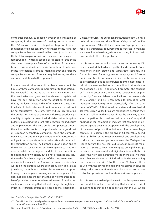

companies behave, supposedly smaller and incapable of competing in the processes of creating users-consumers; the DSA impose a series of obligations to prevent the dissemination of illegal content. While these measures target companies with more than 45 million users (that is, most of the best-known platforms), both measures are designed to target Google, Twitter, Facebook, or Amazon. For this, these directives contemplate fines of up to 10% of the annual turnover. Without a doubt, this is Brussels' most ambitious measure to defend its prized internal market and force US companies to respect European regulations. Again, there are some limitations to this approach.

In more theoretical terms, as it has been pointed out, the figure of these companies is more similar to that of "regulatory capitals". This means that within a given industry, in this case the technological one, there is a set of capitals that have the best production and reproduction conditions, that is, the lowest costs.<sup>66</sup> This often results in a situation in which old industries continue to operate, but without being competitive. Therefore, they end up incorporating the production norms of the new industries, producing a mobility of capital between the industries that ends up turbulently equalizing the profit rate between the industries and implementing the best production practices among the actors. In this context, the problem is that a good part of European technology companies need the computational capacity and the implementation of American technology firms to operate, reduce their costs and continue in the competition battle. The European Union put an end to the wildest practices carried out by companies such as Amazon, who take advantage of the data of their competitors to design their own prices, but do not presented any solution to the fact that a large part of the companies need to operate in the market that Amazon has created or, in other words, on the platform where both production takes place (the cloud, through Amazon Web Service) or consumption (through the company's catalog and Amazon *prime*). This does not eliminate the fact that the only companies capable of providing the most advanced means of production are foreign, something that will not change through fines, much less through efforts to create national champions.

Unless, of course, the European institutions follow Chinese political decisions and drive Silicon Valley out of the European market. After all, the Commission's proposals only require transparency requirements to operate in markets such as online advertising, without imposing limits on their practice itself. This is the problem.

In this sense, we can talk about the second obstacle, if it could be called that, which is political and confronts Commissioners Thierry Breton and Margarethe Vestager. The former is known for an aggressive policy against US companies and has been branded inside the business circles as protectionist due to its impulses to implement data localization measures that force competitors to store data in the European Union. In addition, it promotes the concept of "strategic autonomy", or "strategic sovereignty", as promoted by European telecommunications companies such as Telefónica,<sup>67</sup> and he is committed to promoting local industries over foreign ones, particularly after the pandemic of COVID-19. Breton follows a standard neoclassical schema: Silicon Valley firms are monopolies because they are not small or medium-sized firms; the only way to ensure competition is to reduce their size. Marx's empirical findings on real competition indicate that competition between capitals does not disappear with the development of the means of production, but intensifies between large capitals. For example, the big five in Silicon Valley spend about 57 billion euros a year on research and development to drive out their competitors. Meanwhile, Vestager has leaned toward the five-year-old European business regulation that seeks to help them compete on a global stage. In this sense, commercial and digital relations with the US under the new administration will be more decisive than any other consideration of individual initiatives coming from member countries.<sup>68</sup> For this reason, Vestager is likely to win with the arrival of Biden and his approach towards safeguarding competition without blocking access or control of European infrastructures to American companies.

For this reason, the third problem with the European measures, and this reflects everything that about rhetorical component, is that it is not so certain that the US, which

<sup>66</sup> *Capitalism: Competition, Conflict, Crisis*, 265-267.

<sup>67</sup> Carla Hobbs, "Europe's digital sovereignty: From rulemaker to superpower in the age of US-China rivalry", *European Council on Foreign Relations*, July 30, 2020.

<sup>68</sup> Laura Kayali, "Inside the EU's divisions on how to go after Big Tech ", *POLITICO Europe,* December 14, 2020.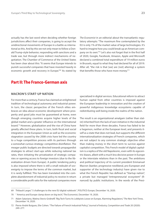<span id="page-22-0"></span>actually has the last word when deciding whether foreign jurisdictions affect their companies, is going to accept the unidirectional movements of Europe in a battle as international as this. And by this we not only mean to follow a Donald Trump-style behavior, responding with sanctions and a trade war, but through more indirect mechanisms of negotiation. The Chamber of Commerce of the United States has been clear about this: "It seems that Europe intends to punish successful companies that have invested heavily in economic growth and recovery in Europe."<sup>69</sup> As stated by

*The Economist* in an editorial about the transatlantic regulatory attempts: "The maximum fine contemplated by the EU is only 1% of the market value of large technologies. It's hard to imagine how you could break up an American company on its own."70 Let's also not forget that in the first half of 2020, Google, Facebook, Amazon, Apple and Microsoft declared a combined total expenditure of 19 million euros in Brussels, equal to what they had declared for all of 2019. After all, "the risk is that [we] are [not] altering] a system that benefits those who have more money."71

# **Part II: The Franco-German axis**

## **MACRON'S START-UP NATION**

For more than a century, France has claimed an enlightened tradition of technological autonomy and industrial power. In turn, the classic perspective of the French elites embraces an idea about economic development where prosperity and good jobs must be guaranteed at home, even though emerging countries acquire higher levels of the global market and a greater influence on the international board.72 However, globalization and the rise of China have greatly affected these plans. In turn, both fiscal and social integration in the European Union as well as the economic stagnation caused by the 2008 crisis have led the country to a huge competition process with its partners through a somewhat curious strategy: competitive disinflation. The meager public budgets are directed towards propagandist strategies to attract start-ups while reducing national tax rates, then initiating the privatization of strategic companies or opening access to foreign investors (due to the liberalization driven from Europe). A public tendering policy is also imposed where there is still a small redoubt of sovereignty to impose the terms of the common market, but it is rarely fulfilled. This has been translated into the complete abandonment of industrial policy to receive in return a considerable profit ratio for the national companies more

specialized in digital services. Educational reform to attract human capital from other countries is imposed against the European leadership in innovation and the creation of powerful indigenous knowledge ecosystems capable of redistributing well-being inside the realms of the nation.

The result is an organizational amalgam (rather than statist) inherited from the lack of own initiative in the industrial field for more than three decades. France has failed to be a hegemon, neither at the European level, and presents itself as a state that does not lead, but supports the different internationalization strategies of French companies, which are not subject to any common strategic objective other than making money in the short term to survive against capitalist competition. This French model of digital capitalism is a replica of the old Napoleonic, even with its egocentric biases, albeit with a much less decisive power in Europe or the interstate relations than in the past. The ambitions and political trajectory of its current president Emmanuel Macron (banker, progressive neoliberal, pro-European and supporter of the technology industry) have given rise to what the French Republic has defined as "Startup nation", a private but managed "entrepreneurial ecosystem" (financed) by public institutions. In the words of the Presi-

<sup>69</sup> Thibault Larger," 5 challenges to the new EU digital rulebook ", POLITICO *Europe*, December 16, 2020.

<sup>70</sup> " America and Europe clamp down on big tech," *The Economist*, December 19, 2020.

<sup>71</sup> Adam Satariano, Matina Stevis-Gridneff, "Big Tech Turns Its Lobbyists Loose on Europe, Alarming Regulators," *The New York Times,*  December 14, 2020.

<sup>72</sup> Pierre-André Buigues, Elie Cohen. "The Failure of French Industrial Policy," *Journal of Industry, Competition and Trade* 20 (2020): 249–277.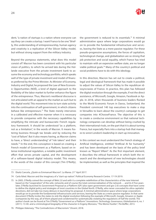

dent, "a nation of startups is a nation where everyone can say they can create a startup. I want France to be one." Briefly, this understanding of entrepreneurship, human agency and creativity is a replication of the Silicon Valley model, but without strong support from the military industry.

Beyond the pompous statements, what does this model consist of? Macron has been consistent with his particular vision of politics, to which he arrived late during the Hollande executive from the private investment bank to assume the economy and technology portfolio, which speaks well of the type of private investment and model of finances preferred by the Prime Minister. As Minister of Economy, Industry and Digital, he proposed the Law of New Economic Opportunities (NOÈ), a kind of digital approach to the flexibility of the labor market to further enhance the figure of the entrepreneur. Thus, Macron's neoliberal discourse is not articulated with an appeal to the market as such but to the digital world. This movement tries to turn state activity into the continuation of self-government, in which citizens behave like entrepreneurs.73 The State merely intervenes in a calibrated and effective manner when it is necessary to provide companies with the necessary capabilities by simplifying the intricate and bureaucratic French regulatory framework. It should be understood "as a platform, not as a limitation", in the words of Macron. It means fostering business through tax breaks and by reducing the "cost of failure". But it also means having, as Macron claims to have, a "direct understanding" of "risk takers" and their needs.74 In the end, this conception is based on creating a French model of Government as a Platform, based on intense institutional regulation, a notable public investment effort that serves private capital, and the development of a software-based digital industry model. This means, in the words of the creator of this concept (Tim O'Reilly),

the government is reduced to its essentials.<sup>75</sup> A minimal administrative space where large corporations would go on to provide the fundamental infrastructure and services, leaving the State as a mere passive regulator. For these pseudo-progressive assumptions, the forces of capitalism, technological change, and globalization are so strong that job protection and social equality, which France has tried to maintain with an expensive welfare state, are no longer viable political goals.76 Many of the country's political and social problems have to do with this ideology.

In this direction, Macron has set out to create a political, legal and ideological framework that has made it possible to adjust the values of Silicon Valley to the republican idiosyncrasies of France. In practice, this plan has followed the digital revolution through the example, if not the direct assistance, of Microsoft, Google, Amazon, Facebook or Apple. In 2018, when thousands of business leaders flocked to the World Economic Forum in Davos, Switzerland, the President convinced 140 top executives to make a stop in Versailles to learn about the country's campaign to get companies into #ChooseFrance. The objective of this is to create a conducive environment so that national technology companies can develop without being crushed by their international rivals, on the part that it is about turning France, but especially Paris into a startup hub that manages to wrest London's leadership in start-up innovation.

In this context we must understand the French strategy of Artificial Intelligence, entitled "Artificial AI for humanity" and has been developed on the basis of the policy brief known as "Report Villani". As the first important element, it describes the ethical framework in which both the research and the development of new technologies should be implemented, as well as the principles that inspired the

76 Philippe Askenazy, "The Contradictions of Macronism." *Dissent*, 2018.

<sup>73</sup> Ekaitz Cancela, ¿Quién es Emmanuel Macron?. La Marea. 21<sup>st</sup> April 2017.

<sup>74</sup> Carla Ibled. Macron and the imaginary of a "start-up nation". Political Economy Research Centre. 17-19-2019.

<sup>75</sup> In 2005, O'Reilly coined the concept of Web 2.0 and with it a complete redefinition of the characteristics of the new Internet based on the "cooperation" of the wiki, networks and of course the total commercialization of the network … and its # Five years later, O'Reilly launched its Government Proposal as a Platform (GP) (also open government and gov 2.0) concepts that have come to define the digital policy and strategies of most countries in the Global North. O'Reilly, who never concealed his ultra-capitalist devotions, did not take too many detours in launching his proposal. A minimal administrative space where large corporations would go on to provide the fundamental infrastructures and services, leaving the State as a mere passive regulator. In that same document O'Reilly invites the states to sink the digital revolution following the example of Microsoft, Google, Amazon or Apple (companies by the way, all of them played and condemned for systematically violating the regulations of half the world). The author's book can be found at Tim O'Reilly "Government as a Platform." *Innovations: Technology, Governance, Globalization* 6, no. 1 (2011): 13-40. and a criminological biography of the character in Evgeny Morozov, "The Meme Hustler", *The Baffler*, 2013.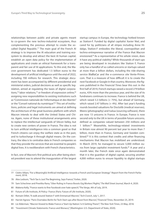relationships between public and private agents meant to co-govern the new techno-industrial ecosystem, thus complementing the previous attempt to create the socalled Digital Republic.<sup>77</sup> The main goal of the French AI strategy is to improve the AI education and training ecosystem to develop and attract the best AI human capital, establish an open data policy for the implementation of applications and create an ethical framework for a transparent and fair use of AI applications. To this end, the Macron government has dedicated 1.5 billion euros to the development of artificial intelligence until the end of 2022, including 700 millions for research. This strategic document has been accompanied by different presidential and ministerial orders, judicial decisions as well as specific legislation, aimed at regulating the taxes of digital corporations,<sup>78</sup> labor relations,<sup>79</sup> or freedom of expression online,<sup>80</sup> assigning new responsibilities to existing institutions such as "Commission nationale de l'informatique et des libertés" or the "Conseil national du numérique".<sup>81</sup> This set of institutions, policies and legal instruments are aimed at defining the architecture of the great business platform with which Macron intends to deal with the United States and China. Again, none of these institutional arrangements aims to replace the intellectual vanguards of Silicon Valley, but to create new centers of power in France. The idea is not to turn artificial intelligence into a common good so that French citizens can enjoy the welfare state as in the past, and to turbocharge it through digital means. On the contrary, the idea is to centralize data in French companies so that they provide the services that are essential to people's digital lives. It is neoliberalism with French characteristics.

In fact, one of Macron's first political acts after being elected president was to attend the inauguration of the largest

startup campus in Europe, the technology hotbed known as Station-F. Funded by digital capitalist Xavier Niel, and cared for by politicians of all stripes including Anne Hidalgo, Station-F embodies the liberal, cosmopolitan and techno-entrepreneur narrative of the France that Macron envisioned.82 As a representative of his whole vision, does it have any political viability? While thousands of start-ups are being developed in incubators like Station F, France only has a handful of so-called unicorns or startups valued at more than a billion dollars, including the ride-sharing service BlaBlaCar and the e-commerce site Vente-Privee. com. That is a measure of how difficult it is to create the next Facebook or Google in that country. Moreover, the figures published in the *Financial Times* bear this out: in the first half of 2019, French startups raised a record 279 billion euros, 43% more than the previous year, and the size of its fundraisers continues to increase. France is behind the UK, which raised 5.3 billions (+ 75%), but ahead of Germany, which raised 2.47 billions (+ 4%). After last year's funding rounds boosted valuations for Doctolib (medical reserves), Meero (photography) and Ivalua (sourcing software), there are now 13 unicorns in France. In Europe, France is now second only to the UK in terms of possible future unicorns, defined as companies valued between 250 millions and 1 billion.<sup>83</sup> Meanwhile, technology-related investments in Britain rose almost 90 percent last year to more than 7 billion, more than in France, Germany and Sweden combined.<sup>84</sup> It is this context that credits and other financing mechanisms that Macron has mobilized are understood. In March 2019, he managed to secure 5,000 million euros from large capitalist investment funds.<sup>85</sup> A year and a month later, the French state once again demonstrated that it is the guardian of digital capital, securing another 4,000 million euros to ensure liquidity to digital startups

- 80 Makena Kelly, "France wants to fine Facebook over hate speech," The Verge, 4th of July, 2019.
- 81 Future of Life Institute, AI Policy- France (Paris: Future of Life Institute, 2020).
- 82 Romain Dillet, "A walk around Station F with Emmanuel Macron," *Tech Crunch*, July 1, 2017.

- 84 Liz Alderman, "Macron Vowed to Make France a 'Start-Up Nation.' Is It Getting There?," *The New York Times*, 23 May, 2018.
- 85 "Investment Climate Statements: France and Monaco," (Washington: U.S. Department of State, 2020).

<sup>77</sup> Cédric Villani, "For a Meaningful Artificial Intelligence: towards a French and European Strategy". Report from the French Parliament, 2018.

<sup>78</sup> Alex Ledsom, "Tech Tax Is Just The Beginning, Says France," *Forbes*, 2020.

<sup>79</sup> Sam Schechner and Preetika Rana, "Uber Ruling in France Boosts Gig Workers' Rights," *The Wall Street Journal*, March 4, 2020.

<sup>83</sup> Harriet Agnew. "Paris Overtakes Berlin for Tech Start-ups after Boost from Macron," *Financial Times*, November 25, 2019.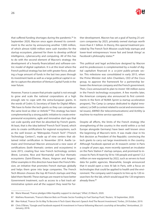

that suffered funding shortages during the pandemic.<sup>86</sup> In September 2020, Macron once again showed its commitment to the sector by announcing another 7,000 million, of which almost 4,000 million were cash transfers for the startup ecosystem, planned for them to develop artificial intelligence, cybersecurity and computing. All of this has to do with the second element of Macron's strategy: the development of a heavily financialized and software-centric model of digital capitalism. It is at this level where the French political strategy has bet with greater force, allocating a huge amount of funds in the last two years through its investment bank as well as a large political capital in order to capture the attention of Venture Capital Funds in the near future.

However, France is aware that private capital is not enough to grow and scale the national corporations at a high enough rate to cope with the extra-European giants. In the words of Cedric O, Secretary of State for Digital Affairs: "We have to foster the tech giants so they can compete on the same level as Uber or Airbnb."87 This strategy has been complemented by a strong public initiative to create entrepreneurial ecosystems, agile and innovative start-ups that can scale quickly and then be absorbed by French giants. At least, that is the idea behind "French Tech" brand, which aims to create certifications for regional ecosystems, such as the well known as "Métropoles French Tech" ("French Technology Centers"), made up of nine centers that obtained initial certification in November 2014. Axelle Lemaire and Emmanuel Macron announced a new wave of certifications (both thematic centers and ecosystems) in June 2015, creating four new French technology centers (Brest, Lorraine, Nice and Normandy) and four thematic ecosystems (Saint-Étienne, Alsace, Avignon and Angers). Other examples in this direction have been the French Mission, an initiative that promotes French startups globally and helps them grow into large companies. The French Tech Mission chooses the top 40 French startups and they label them Next40. These startups are meant to have better Government treatment, such as access to a fast track administrative system and all the support they need for fur-

ther development. Macron has set a goal of having 25 unicorn companies by 2025, privately owned startups worth more than € 1 billion. In theory, this special treatment provided by The French Tech Mission could help startups and lower-level entrepreneurs 'move fast and break things' as Facebook's philosophy states.<sup>88</sup>

This political and legal architecture designed by Macron and his predecessors is complemented by a model of digital capitalism financed in a *co-joint* public-private sector. This milestone was consolidated in early 2015, when the Prime Minister met John Chambers, CEO of the Cisco group, to approve the framework for a partnership between the American company and the French government. Then, Cisco announced its plan to invest 100 million euros in the French technology ecosystem. A few months later, the American company also announced its first commitments in the form of NUMA Sprint (a startup acceleration program), The Camp (a campus dedicated to digital innovation), Le Défi (a contest related to social and environmental issues), 6WIND (for telecommunications) and Actility (a machine-to-machine service operator).

Despite all efforts, the limits of the French strategy (the strengthening of the country in the world within a co-led Europe alongside Germany) have been well known since the beginning of Macron's term. It was made clear in his first decision as President of the Republic: convincing the tech giants to carry out large investments in the country. Although Facebook opened an AI research center in Paris a couple of years ago, more recently opened an incubator on the Paris Station F startup campus, and promised to increase its Paris AI team by 50 to 100 people and spend 12.2 million on new equipment by 2022, such as servers to host data for public agencies. Meanwhile, Google announced that it would open a new AI lab in Paris, with a focus on technologies that could be applied to health and the environment. The company said it expects to hire up to 120 researchers for the lab, which would equal the 120 engineers already there.<sup>89</sup>

<sup>86</sup> Marie Mawad, "France pledges €4bn liquidity support to startups," *Sifted*, 25 March, 2020.

<sup>87</sup> Mathieu Rosemain, "France's Macron Bets on Private-Sector Funding to Fuel Startup Push," *Reuters*, 18 September, 2020.

<sup>88</sup> Ilker Koksal, "France On Its Way To Become A Tech Giant: Macron's Speech And The Recent Investment," *Forbes*, 29 October, 2019.

<sup>89</sup> Chris O'Brien, "Google and Facebook expand AI investment in France following Macron's courtship at Versailles," *Venturebeat*, 23 January, 2018.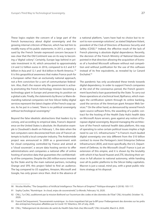These logics explain the concern of a large part of the French bureaucracy about digital sovereignty and the growing internal criticism of Macron, which has led him to modify many of his public statements. In 2013, a report issued by the French Senate expressed concern because it was clear that the Old Continent was on its way to becoming a "digital colony". Certainly, Europe lags behind in private investment in AI, which amounted to approximately 2.4 and 3.2 billion euros in 2016, compared to 6.5 and 9.7 billion in Asia and 12.1 and 18.6 billion in North America.<sup>90</sup> It is this geopolitical awareness that makes France push for a European rather than an exclusively national approach, not a firm conviction for a sort of communitarian federalism. Also, that's the reason why the government is actively promoting the French technology mission: becoming a technology giant in Europe and preserving its position on a global scale. Finally, the statements by Bruno Le Maire demanding national companies not hire Silicon Valley digital services represent the latest chapter of the French soap opera. As he put in a tweet, "there is no political sovereignty without technological sovereignty."

Beyond the false idealistic abstractions that leaders try to convey, and according to empirical data, France's dependence on the United States is absolute. An illustrative example is Cloudwatt's death on February 1, the date when the last computers were disconnected from one of France's attempts to build a local computer industry. The Andromède project was announced in 2009 as a government wish for cloud computing controlled by France and aimed at a "cloud souverain", a secure data hosting service to offer administrations and companies a national offer of online hosting of sensitive data that guarantees the confidentiality of the companies. Despite the 285 million euros invested by the State and by the main national partners, including Orange and SFR, this project failed to find an audience. The lag compared to US suppliers, Amazon, Microsoft and Google, has only grown since then. And in the absence of

a national platform, "users have had no choice but to resort to non-sovereign solutions", as stated Stéphane Volant, president of the Club of Directors of Business Security and Safety (CDSE).<sup>91</sup> Indeed, the effective result of the lack of French planning is absolute digital dependence. Recently, the decision of the French Ministry of National Education pointed in that direction allowing the acquisition of licenses of a hundred Microsoft software without real competition and without justification for the use of this software instead of its free equivalents, as revealed by Le Canard Enchaîné.92

The pandemic has only accelerated these trends towards digital dependency. In order to support French companies at the end of the coronavirus period, the French government launched a loan guaranteed by the State. To carry out these operations at a technical level, Bpifrance, which manages the certification system through its online banking, used the services of the American giant Amazon Web Services.93 On the other hand, as denounced by several French open source software firms, the awarding of a public contract for the hosting of the Health Data Hub's health data on Microsoft Azure servers, goes against any notion of European digital sovereignty. Beyond managing the architecture of the French national health data platform, this way of operating to solve certain political issues implies a high need to use U.S. infrastructures.<sup>94</sup> Is France's much-lauded digital sovereignty one iota different from the \$10 billion contract to move the Pentagon's Joint Enterprise Defense Infrastructure (JEDI), and more specifically, the U.S. Department of Defense, to the Microsoft cloud? France is just an extension of this empire, and it is shown by the brutality with which it has faced Huawei and ZTE, blocking their services in full allusion to national autonomy, while handing over all its public platforms to the Silicon Valley capitalists. Macron is just a vassal, mind you, with a great public relations strategy at his disposal.

<sup>90</sup> Nicolas Miailhe, "The Geopolitics of Artificial Intelligence: The Return of Empires?" *Politique étrangère* 3 (2018): 105-117.

<sup>91</sup> Sophy Caulier, "Numérique : le cloud, enjeu de souveraineté," *Le Monde*, February 16, 2020.

<sup>92</sup> CNLL, "Le CNLL auditionné par la mission Bothorel sur l'ouverture des codes et des données de l'Etat" *CNLL Actualité*, October 10, 2020.

<sup>93</sup> Franck DeCloquement, "Souveraineté numérique : le choix inquiétant fait par la BPI pour l'hébergement des données sur les prêts des entreprises françaises affaiblies par le Covid-19," Atlantico, 5th of July, 2020.

<sup>94</sup> CNLL, "Hébergement de données de santé du Health Data Hub chez Microsoft," *CNLL Actualité*, March 6, 2020.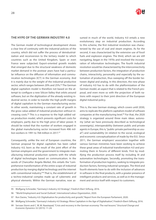

# <span id="page-27-0"></span>**THE HYPE OF THE GERMAN INDUSTRY 4.0**

The German model of technological development shows a clear line of continuity with the industrial policies of the country, which did not suffer the process of deindustrialization and reconversion to the tertiary model to which countries such as the United Kingdom, Spain or even France were subjected. Export-oriented growth models that emerged due to the structural weakness of domestic market demand in the postwar years have had a particular influence on the diffusion of information and communication technologies (ICT) in the German economy. And it is mainly due to the weight of the industrial productive sector, which ranges between 20% and 25%.<sup>95</sup> The German digital capitalism model is therefore not based on the attempt to configure a new Silicon Valley that orbits around software, but on the digitization of the already existing industrial sector, in order to transfer the high profit margins of digital capitalism to the German manufacturing sector. In other words, maintaining a constant rate of growth in the gross value added of industrial production without increasing costs.<sup>96</sup> This is a response to the high added value production model, which presents significant costs for employers, partly due to the high price of labor power. It should be noted that the number of workers engaged in the global manufacturing sector increased from 496 million workers in 1991 to 768 million in 2017.<sup>97</sup>

Consequently, unlike the rest of European countries, the German proposal for digital capitalism has been called Industry 4.0, born as the result of the joint effort of the German employers and the government to integrate manufacturing industrial production systems with the whole of digital technologies based on communication. In the words of Chancellor Angela Merkel, this entails the "comprehensive transformation of the entire scope of industrial production by merging digital technology and the internet with conventional industry."98 That is, the establishment of a techno-industrial complex made up of cybernetic and physical elements. Within the German narrative, now as-

sumed in much of the world, Industry 4.0 entails a new evolutionary step on industrial production. According to this scheme, the first industrial revolution was characterized by the use of coal and steam engines. As for the second, it was characterized by the extensive use of fossil fuels and explosion engines. The third, which we are still navigating, began in the 1970s and involved the incorporation of information technologies. The fourth industrial revolution would be characterized by the interconnectivity between production factors, the integration of production chains, interactivity, personality and especially by the automation of production, thus sweeping off the border between digital and analog. In this direction, the new phase of industry 4.0 has to do with the platformization of the German model, an aspect that is related to the French proposal, and even more so with the projection of both nations with respect to their joint direction of the European digital industrial policy.

This is, the new German strategy, which covers until 2030, aims to replicate the platform capitalism model of software companies at the manufacturing level.<sup>99</sup> For that, the 2020 strategy is organized around three main ideas: autonomy (what we have previously described as technological sovereignty), interoperability (between public and private agents in Europe, this is, "public-private partnership as usual") and sustainability (in relation to the social, ecological and economic conceptualization of made by the EU). Since 2011, the German employers' association together with various German ministries have been working to achieve these great areas of industrial transformation 4.0 and promoting them in forums of different kinds. First by modifying the production process itself by including AI and automation technologies. Secondly, promoting the transformation of production logistics, seeking to integrate production factors, forming industrial synergies. The third and fourth elements have to do with the inclusion of advances in software in the final products, with a greater presence of intelligent products and services, as well as in the management and service itself with respect to customers.

<sup>95</sup> Wolfgang Schroeder, "Germany's Industry 4.0 Strategy", *Friedrich Ebert Stiftung*, 2016.

<sup>96</sup> "World Employment and Social Outlook", *International Labour Organization*, 2020.

<sup>97</sup> Ron Davies, "Industry 4.0: Digitalisation for productivity and growth," Report from the European Parliament, 2020.

<sup>98</sup> Wolfgang Schroeder, "Germany's Industry 4.0 Strategy: Rhine Capitalism in the Age of Digitalisation", Friedrich-Ebert-Stiftung, 2016.

<sup>99</sup> Servaas Storm and C. W. M. Naastepad, "Crisis and recovery in the German economy: The real lessons." *Structural Change and Economic Dynamics* 32 (2015): 11-24.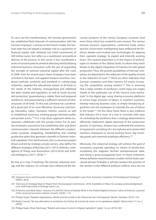To carry out this transformation, the German government has established fluid channels of communication with the German employers. Contrary to the French model, the German state has not played a strategic role as a guarantor of financial capital, with relatively low initial investments of 200 million euros, but rather as a coordinator and political director of the process. In this sense, it has coordinated a series of sectoral policies aimed at directing and facilitating industrial business innovation with the aim of expanding the strength of national industrial capital after the crash of 2008. Even for several years, these strategies have been oriented to the basic and applied research priorities, reordered methods, protocols and standards in cutting-edge industries, adapted the educational system at all levels to the needs of the industry, homogenized and stabilized the labor market and regulation, as well as social security and protection (guaranteeing a stable, fluid and prepared workforce), and guaranteeing a sufficient network of infrastructures of all kinds. To this end, Germany has coordinated a good part of its main Ministries (Economy and Energy, Education, Labor, Transport, Interior, Justice), as well as established numerous working groups between public and private actors.<sup>100</sup> It is a top down approach where bureaucrats collaborate with the private sector. For its part, the employers' association has established clear and direct communication channels between the different conglomerates involved, integrating, standardizing and creating productive poles that generate a benefit to German industrial capitalists. First and foremost, this is a business project driven and led by strategic private sectors, who define the different strategies of Big Data (2011-2013), Robotics, Intelligence of Things and Automation (2014-2016) and Artificial Intelligence (2017- 2018).101

Be that as it may, if anything, the German industrial strategy and the Industry 4.0 concept have influenced the discursive positions of the various European countries (and even China, which has created its own version). The various German business organizations, conformist trade unions and the conservative intelligentsia have embraced this fictitious debate and invoked new technologies for aligning their capitalist strategy: to exploit and intensify working hours. The clearest expression is in the impact of technologies on workers in the Global South, to whom they reach thanks to the digital integration of Industry 4.0 with global production. Thus, the growth possibilities of German companies are deposited in the reduction of the quality of work or the reduction of costs.<sup>102</sup> There are other indicators that German companies and their Industry 4.0 means increasing the competition among workers.<sup>103</sup> This is, ensuring that a large number of producers could enjoy low wages thanks to the systematic use of the "reserve army mechanism" in the digital age: using sharing economy platforms to access huge amounts of labour in southern countries, thereby reducing business costs, or simply introducing algorithms into the workspace to intensify the use of labour in the South.104 On the other hand, there is also evidence that Industry 4.0 is more of a way to innovate with ways of controlling the workforce than a strategy determined to efficiently implement digital planning of the production process. In Germany, Amazon has confirmed the existence of equipment consisting of a microphone and camera that monitors employees to record working hours, log incoming goods and maximise employee efficiency.<sup>105</sup>

Obviously, this industrial strategy will achieve the goal of increasing corporate spending on means of production, revitalizing the stagnant German entrepreneurial state, and doing a good propaganda favor to heavy industries, whose pollution-based business models will be better perceived abroad. Probably, it will also weaken the position of the workers in the different political conflicts, since all civil

<sup>100</sup> Johannes Horst and Fernando Santiago, "What Can Policymakers Learn from Germany's Industrie 4.0 Development Strategy?," UNIDO, 2018.

<sup>101</sup> "Germany AI Strategy Report," Report from the European Commission. 2018. Available at: [https://ec.europa.eu/knowledge4poli](https://ec.europa.eu/knowledge4policy/ai-watch/germany-ai-strategy-report_en)[cy/ai-watch/germany-ai-strategy-report\\_en](https://ec.europa.eu/knowledge4policy/ai-watch/germany-ai-strategy-report_en)

<sup>102</sup> Al Rainnie and Mark Dean, "Industry 4.0 and the Future of Quality Work in the Global Digital Economy," *Labour & Industry: a journal of the social and economic relations of work*. (2020): 1-19.

<sup>103</sup> Philipp Staab, "Digitaler Kapitalismus. Markt und Herrschaft in der Ökonomie der Unknappheit" (Berlin: Suhrkam, 2019): 154.

<sup>104</sup> Ekaitz Cancela. "No hay alternativa al socialismo: los límites de la lucha de clases en el capitalismo digital," *Teknocultura* 17, no. 2 (2020).

<sup>105</sup> Philipp Staab, Oliver Nachtwey, "Market and Labour Control in Digital Capitalism". *tripleC* 14, no. (2016): 467.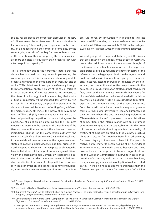society has embraced the corporatist discourse of Industry 4.0. Nonetheless, the achievement of these objectives is far from taming Silicon Valley and its presence in the country, let alone facilitating the control of profitability by the state. Again, the calls of the big German lobbies, as well as the repetition of their messages by the federal cabinet, are more of a discursive question than a real strategy with effective political capacity.<sup>106</sup>

This is eminently due to the corporatist nature that the debate has adopted, not only when implementing the common premise in this theory of class harmony and its organic unity through the organization of work, but also of capital.107 This latest event takes place in Germany through the reformulation of antitrust policy. At the core of this idea is the assertion that "if antitrust policy is not 'domestic to the titans of technology, it will be more likely that another type of regulation will be imposed, less driven by free market ideas. In this sense, the prevailing position in the debate on these policies when confronting Google is 'keep the markets open, otherwise, the intervention may come too late'".108 In a slightly broader way, it can be said that in terms of protecting competition in the market against the emergence of giant online platforms and their business models it is present in the recent ninth amendment of the German competition law. In fact, there has even been an institutional change for the competition authority, the Federal Cartel Office of Germany (FCO; Bundeskartellamt), to adequately address anti-competitive agreements and strategies involving digital goods. In addition, oriented towards cooperation between German press publishers, who have initiated one of the largest crusades against Silicon Valley, the aforementioned German law establishes a series of criteria to consider the market power of platforms: direct and indirect network effects, parallel use of various services, economies of scale connected to network purposes, access to data relevant to competition, and competitive

pressure driven by innovation.<sup>109</sup> In relation to this last point, the R&D spending of the entire German automobile industry in 2018 was approximately 30,000 million, a figure 5,000 million less than Amazon's expenditure each year.

Without going into complex details, beyond the issues that are already on the agenda of the debate in Germany, due to the ordoliberal roots of the economic thought of the Germans, the ultimate maxim to which the large conglomerates aspire is to regulate the power in terms of the influence that the big players obtain on the regulators and politicians, which will degenerate into giving even more priority to actively listen to the German lobbyists. On the other hand, the competition authorities can put an end to the data-based price discrimination strategies that consumers face, they could even regulate how much they charge for blocks of data in data-free markets endowed with individual ownership, but hardly is this a successful long-term strategy. The latest announcements of the German Antitrust Commission will not achieve the ultimate goal of guaranteeing German digital sovereignty, let alone European, but they do show where the debate is evolving. Referring to "Chinese state capitalism", it proposes to reduce distortions of competition in the internal market with an instrument of European competition law applicable to subsidies from third countries, which aims to guarantee the equality of treatment of subsidies granted by third countries such as China and state aid from Member States.110 In other words, Germany is trying to transpose its laws into European directives on this matter to become a kind of last defender of European interests in a world divided between two great powers. Hence, the proposed instrument suggests allowing the European Commission to intervene in cases of acquisition of a company and contracting of a Member State; it may even apply a suspension obligation to all interested parties. There is no need to add more arguments than the following comparison: where Germany spent 200 million

<sup>106</sup> Thomas Haipeter, "Digitalisation, Unions and Participation: the German Case of 'Industry 4.0'". *Industrial Relations* 51, no. 3 (2020): 242-260.

<sup>107</sup> Leo Panitch, *Working Class Politics in Crisis. Essays on Labour and the State*. (London: Verso, 1986): 132-160.

<sup>108</sup> Rupprecht Podszun, "How to Reform the Law on Abusive Practices: The study that will serve as a basis for reform in Germany (and Europe?)," *Competition Policy International Journal* (2018).

<sup>109</sup> Oliver Budzinski, and Annika Stöhr. "Competition Policy Reform in Europe and Germany– Institutional Change in the Light of Digitization," *European Competition Journal* 15 no. 1, (2019): 15-54.

<sup>110</sup> "Monopolies Commission: Strengthening the competition regime in Europe in times of the Corona crisis, digital change and growing challenges from Chinese state capitalism. Biennial Report of the Monopolies Commission under § 44(1)" *ARC* 29 (2020).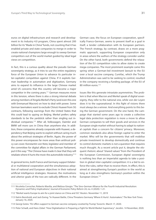euros on digital infrastructure and research and development in its Industry 4.0 program, China spent almost 200 billion for its "Made in China" funds, not counting that it has enabled private and state companies to merge in order to create national champions large enough to sweep German competitors out of the world market guided by ideal legal views on competition.

In fact, this is a curious quality about the pseudo German sovereignty strategy, as it tries to use the entire regulatory force of the European Union to advance its particular inter-capitalist competition against China. If it exploits German leadership in automation and digitization, Germany aims to expand its influence in the large Chinese market amid US concerns that this country will become a major competitor in the coming years.111 German measures move in this tension, where there is also a strong internal debate among members of Angela Merkel's Party (and even this one with Emmanuel Macron) on how to deal with power. Some German lawmakers want to exclude China's Huawei from 5G contracts, following warnings from the United States that this could lead to spying on Beijing. Merkel prefers safety standards to be the yardstick rather than singling out individual companies.112 After all, Volkswagen, Daimler and BMW sell more cars in China than anywhere else. In addition, these companies already cooperate with Huawei, a dependency that Beijing wants to exploit without caring much about the antitrust strategies of Berlin. Again, the power of this power encompasses far more areas than antitrust policy can cover. Konstantin von Notz, legislator and member of the committee for digital affairs in the German Parliament, put it this way: "The Chinese have made it clear that they will retaliate where it hurts the most: the automobile industry."113

In general terms, both France and Germany support bilateral or multilateral cooperation and the simultaneous adoption of national and European objectives in their national artificial intelligence strategies. However, the motivations and ulterior goals of the two are radically different. In the

German case, the focus on European cooperation, specifically Franco-German, seems to present itself as a goal in itself, a tender collaboration with its European partners. The French strategy, by contrast, draws on a more pragmatic approach, supporting European cooperation only in areas where the authors of the strategy consider useful. On the other hand, both governments defend the relaxation of the EU competition rules to allow states to create mega-companies. The most prominent example came this spring when a German-led investment lawsuit to the EU over a local vaccine company, CureVac, which the Trump Administration was said to be seeking to control, resulted in the company receiving a funding package. of the EU of 80 million euros.<sup>114</sup>

Issues like this generate intrastate asymmetries. The problem is that when Macron and Merkel speak of digital sovereignty, they refer to the national one, while von der Leyen does it to the supranational. In this fight of visions there must always be a winner. And everything points to this being the German government. On the one hand, the campaign that started some years ago to create a collective legal data protection regulation is more a move to allow German companies to sell their goods and services in the European single market without having to adapt to national capitals than a concern for citizens' privacy. Moreover, common standards also allow foreign capital to enter the market. Who will be the governments that will mobilise private investment to develop domestically and continue to control domestic markets is not a question that requires much thought. As a recent article put it, despite the eloquent rhetoric about "shared values" from the President of the European Commission, European digital sovereignty is nothing less than an imperialist agenda to take a position in global inter-capitalist competition: it is a bid to enforce the rules, rather than to receive them. In effect, this is aimed at strengthening Europe's position in the world as long as it also strengthens Germany's position within the European Union.<sup>115</sup>

<sup>111</sup> Nicoletta Corrocher, Roberto Mavilia, and Melissa Giorgio. "The Sino-German Alliance for the Fourth Industrial Revolution: Dynamics and Policy Implications," *Journal of Economic Policy Reform* 24, no. 4 (2020): 1-21.

<sup>112</sup> "Merkel wants Europe to aim for a joint stance on China and 5G". *Reuters*. November 11, 2019

<sup>113</sup> Katrin Bennhold, and Jack Ewing. "In Huawei Battle, China Threatens Germany 'Where It Hurts': Automakers." *The New York Times*. January 16, 2020.

<sup>114</sup> Georgi Gotev. "EU offers support to German vaccine company coveted by Trump," *Euractiv*. March 17, 2020.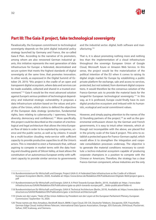

# <span id="page-31-0"></span>**Part III: The Gaia-X project, fake technological sovereignty**

Paradoxically, the European commitment to technological sovereignty depends on the joint digital industrial policy strategy launched by Germany and France, the so-called Gaia-X Plan. According to the narrative of its promoters, among whom are also renowned German industrial giants, this initiative represents the next generation of data infrastructure for Europe: a federated, decentralized and secure system that meets the highest standards of digital sovereignty at the same time. that promotes innovation. In other words, as expressed in the Digital Summit of October 29, 2019, "this project is the cradle of an open and transparent digital ecosystem, where data and services can be made available, collected and shared in a trusted environment."116 Gaia-X would be the most advanced solution against Europe's serious problem of technological dependency and industrial strategic vulnerability. It proposes a data infrastructure solution based on the values and principles of the Union, which claims to defend the objectives of the European data strategy (protection, fundamental rights, laws relating to cybersecurity / openness, fairness, diversity, democracy and confidence).117 More specifically, this project could be described as the creation of a technological and legal architecture that allows the intra-European flow of data in order to be exploited by companies, science and the public sector, as well as by citizens. It would be a multi-location clouding meta-service with sufficient capacity to provide productive capacities to all the Union's actors. This is intended to erect a framework that, without aspiring to compete in market terms with the data hosting and clouding giants of Silicon Valley, at least allows the constitution of an autonomous European entity with sufficient capacity to provide similar services to governments

and the industrial sector. digital, both software and manufacturing.118

That is, it is about promoting nothing more and nothing less than the implementation of a cloud infrastructure throughout the sovereign European Union of Google Cloud, Microsoft Azure or Amazon Web Service. In this sense, the project would be the materialization of the political intention of the EU when it comes to raising its digital single market for Europe by establishing a public private platform for exchange, sale and access to services, protected, but not isolated, from dominant digital corporations. It would therefore be the consensus solution of the Franco-German axis to provide the material basis for the longed-for European technological sovereignty.<sup>119</sup> In this way, as it is professed, Europe could finally have its own digital productive ecosystem and imbued with its humanistic, ecological and social commitment values.

However, and simply paying attention to the names of the 22 founding partners of the project, $120$  as well as the governmental enthusiasm shown by the German and French governments, it is easy to intuit other interests, which although not incompatible with the above, are placed first in the priority scale of the Gaia-X project. This aims to establish a protected space for Franco-German capital, which would allow it to strengthen the integration and corporate consolidation processes underway. The objective is to generate the material conditions necessary to constitute a techno-industrial ecosystem capable of producing corporate champions in a position to compete with the Chinese or Americans. Therefore, the strategy has a clear Franco-German component, whose industries are the only

<sup>116</sup> Bundesministerium für Wirtschaft und Energie, Project GAIA-X: A Federated Data Infrastructure as the Cradle of a Vibrant European Ecosystem (Berlin, 2020). Available at: https://www.bmwi.de/Redaktion/EN/Publikationen/Digitale-Welt/project-gaia-x. pdf

<sup>117</sup> Bundesministerium für Wirtschaft und Energie, GAIA-X: A Pitch Towards Europe (Berlin, 2019). Available at: https: //www.datainfrastructure.eu/GAIAX/Redaktion/EN/Publications/gaia-xa-pitch-towards-europe.pdf?\_\_blob=publicationFile&v=6

<sup>118</sup> Bundesministerium für Wirtschaft und Energie, GAIA-X: Technical Architecture (Berlin, 2019). Available at: https://www.data-infrastructure.eu/GAIAX/Redaktion/EN/Publications/gaia -x-technical-architecture.pdf

<sup>119</sup> Ursula von der Leyen, "State of the Union Address by President von der Leyen at the European Parliament Plenary, European Commission," September 16, 2020.

<sup>120</sup> Those names are Atos Amadeus, Beckhoff, Bosch, BMW, Cispe Cloud, DE-CIX, Deutsche Telekom, Docaposte, EDF, Fraunhofer, German Edge Cloud, Institut Mines-Telecom, International Data Spaces Association, Orange, 3DS Outscale, OVHcloud, PlusServer, Safran, SAP, Scaleway, and Siemens.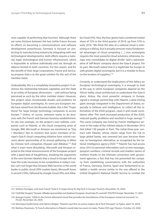ones capable of performing that function. Although there are some frictions between the two (while France focuses its efforts on becoming a communications and software development powerhouse, Germany is focused on protecting its manufacturing industry by integrating with new technological developments), both efforts require a material, legal, technological and human infrastructure, which is impossible to achieve individually and not through an alliance limited to both countries. For this reason, and for the benefit of their large corporations, France and Germany propose Gaia-x as the great solution for the rest of the member states.

Undoubtedly, this is a completely innovative project: it enshrines the relationship between capitalists and the State in an entity of European dimensions *—*and without being perceived as such by the other member states!. However, this project raises innumerable doubts and problems for European digital sovereignty. As some pro-European media have raised from the Brussels bubble, this is the "Trojan Horse" for large foreign technology companies to access Europe.121 Unless, of course, someone wants to do business with the French and German business establishment. To cite one example, on the project's own website, companies such as Palantir, or the cloud computing areas of Google, IBM, Microsoft or Amazon are mentioned as "Day 1 Members". Not to mention that senior members of Europe's Gaia-X cloud computing initiative have voiced concerns about sponsorship of its annual gathering in Milan by Chinese tech companies (Huawei and Alibaba).<sup>122</sup> And what is even more disturbing.: Microsoft and Amazon reacted to the initial announcement of the European project with a good deal of haughtiness, breaking the arguments of the new German idealists that a cloud in Europe will not have the scale necessary to be competitive in today's market. Let's not forget that Amazon Web Services is the world leader in public cloud (39% market share), Microsoft Azure is second (19%), followed by Google Cloud (9%) and Aliba-

ba Cloud (5%). Also, the four giants had a combined market share of 72% in the third quarter of 2019, up from 57% in early 2016. "We think the idea of a national cloud is interesting as a theory, but it actually removes many fundamental advantages of cloud computing (…) true sovereignty requires the most powerful cloud solutions; otherwise, Europe only consolidates its digital divide," said a representative of Jeff Bezos' company about the Gaia-X project. For its part, Microsoft stated that it is legitimate for Europe to seek greater digital sovereignty, but it is a mistake to focus on the location of suppliers.<sup>123</sup>

Certainly, to understand the implications of this fallacy on European technological sovereignty, it is enough to look at the way in which European companies depend on the Silicon Valley cloud architecture to understand the Gaia-X plans. Airbus, the most powerful company in Europe, signed a strategic partnership with Palantir, a data mining giant strongly integrated in the Department of States, especially in Defense and Intelligence, to collect all the information of the A350 program, clean it and create correlations after. This work increased production of the A350, reduced quality problems and resulted in huge savings.<sup>124</sup> This same company was hired by French intelligence services in the wake of the militant attacks in November 2015 that killed 130 people in Paris. The initial three-year contract with Palantir, whose clients range from the CIA to large global banks, was renewed last year because there was no homegrown alternative, as recognized by the national intelligence agency DGSI.<sup>125</sup> Palantir has had access since 2013 to personal information such as text messages, passport numbers, criminal records and maiden names of mothers thanks to the intimate connection with government agencies, a fact that has not prevented the company from establishing conversations with the authorities of France, Germany, Austria, Spain and Switzerland to establish a health service similar to the one offered to the United Kingdom's National Health Service to combat the

125 Mathieu Rosemain, "A French alternative to Palantir would take two years to make, Thales CEO says," *Reuters*. October 23, 2020.

<sup>121</sup> Stefane Fermigier, and Sven Franck "Gaia-X: A trojan horse for Big Tech in Europe," *Euractiv.* November 23, 2020.

<sup>122</sup> Clothilde Goujard, "Huawei, Alibaba sponsorship overshadows European cloud Gaia-X's summit", *POLITICO Europe.* November 17, 2021.

<sup>123</sup> Aysegul Ceylan, "GAIA-X, the French-Allemand cloud that provides the foundations of the European numerical souvenir," *Le Portail*. November 26, 2020.

<sup>124</sup> Véronique Guillermard, and Fabrice Brégier, "Palantir veut être un acteur majeur de la Tech française". *Le Figaro*. April 10, 2018.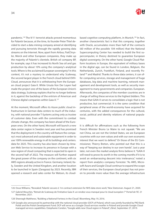

pandemic.126 The 9/11 terrorist attacks proved momentous for Palantir because, at the time, its founder Peter Thiel decided to start a data mining company aimed at identifying and pursuing terrorists through the rapidly growing data streams on the Internet. Now, apart from Airbus, FiatChrysler, Merck and other European companies, they make up the majority of Palantir's clientele. British oil company BP, for example, says it has increased its North Sea oil and gas production by about 10% using the company's analytical tools. Where is the acclaimed European sovereignty? In this context, it's not a mystery to understand why Scaleway, the second largest player in the French cloud behind OVH-Cloud, announces that it is withdrawing from the European cloud project Gaia-X. While Ursula Von Der Leyen had made the project one of the bases of the European Union's data strategy, Scaleway explains that he no longer believes in it, against the backdrop of the entrism of American and Chinese digital companies within Gaia-X.127

At the moment, Microsoft offers its Azure public cloud infrastructure in German data centers to much of the industry, with national provider T-Systems acting only as trustee of customer data. Even with the commitment to combat climate change, this company has been ahead of the European ones. On the other hand, Microsoft will launch a new data center region in Sweden next year and has promised that the deployment in the country will feature the company's most advanced and sustainable equipment in order to use 100% renewable energy in all its buildings and centers. data for 2025. This country has also been chosen by Amazon Web Service to increase its presence in Europe with a new region of cloud computing that is expected to open in the second half of 2022. The measure will further expand the great power of the company on the continent, with six AWS regions already active in France. Germany, Ireland, Italy, Sweden and the United Kingdom, and another location to be launched in Spain (Zaragoza) by 2023. Recently, IBM opened a research and sales center for Watson, its cloud-

based cognitive computing platform, in Munich.<sup>128</sup> In fact, another characteristic fact is that this company, together with Oracle, accumulates more than half of the contracts (60 million of the possible 104 million) that the National Supercomputing Center has needed to build the first supercomputer, in theory destined to guarantee European digital sovereignty. On the other hand, Google Cloud Platform locations in Europe, the equivalent of military bases in the digital age, can be found in London, Belgium, the Netherlands, Zurich, Frankfurt, Finland, and recently Poland<sup>129</sup> and Madrid. Thanks to these data centers, it can offer computing services, storage and management of huge databases, big data and machine learning, network management and development tools, as well as security management to many governments and companies. European. Afterwards, the companies of the member countries are in charge of selling these services to the highest bidders. This means that GAIA-X serves to consolidate a logic that is not productive, but commercial. It is the same condition that peripheral areas of the world-economy have acquired for centuries, with the added consequences for the cultural, social, political and identity relations of national populations.

It is difficult for affirmations such as the following from French Minister Bruno Le Maire to not squeak: "We are not China, we are not the United States, we are European countries with our own values and with our own economic interest that we want to defend." Or those of the EU Commissioner, Thierry Breton, who pointed out that this is a way of "keeping our destiny in our own hands". Just a year later, not even the market analysis firms believe it. "GAIA-X will need to prove its worth in the coming months if it is to avoid an embarrassing descent into irrelevance," noted a report from analytics company Forrester. "As AWS, Microsoft Azure and Google Cloud continue to expand the scope of their services, the European cloud project has not proven to provide more value than the average infrastructure

<sup>126</sup> Oscar Williams, "Revealed: Palantir secures £ 1m contract extension for NHS data store work," *New Statesman*. August 21, 2020.

<sup>127</sup> Gabriel Mouchès, "Retrait de Scaleway de l'initiative Gaia-X: un rendez-vous manqué pour le cloud européen ?" *Portail de l'IE.* 21 November, 2021.

<sup>128</sup> Sheenagh Matthews, "Building a National Fortress in the Cloud," *Bloomberg*, May 19, 2016.

<sup>129</sup> Google also announced its partnership with the national cloud provider (DCP) of Poland, which was jointly founded by PKO Bank Polski and the Polish Development Fund. DCP will serve as a Google Cloud services reseller in Poland and provide Google Cloud managed services capabilities. Estephanie Condon, "Google adds new Cloud region in Poland", *Zdnet*, September 27, 2019.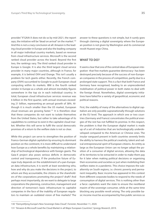<span id="page-34-0"></span>provider." If GAIA-X does not do so by mid-2021, the report says, the initiative will be "dead on arrival" on the market.<sup>130</sup> And this is not a crazy conclusion at all: Amazon is the leading cloud provider in Europe and also the leading company in all major individual country markets, based on revenue from cloud infrastructure services. Microsoft is the second ranked cloud provider across the board. Beyond the first two, the rankings vary. The third ranked cloud provider in Europe is Google. It is also the third largest cloud service provider in many major countries, although in France, for example, it is behind OVH and Orange. This isn't usually a problem for tech giants either. Recently, the French company (OVH) succumbed to Google to push European cloud computing within its markets. IBM is the fourth ranked vendor in Europe as a whole and almost inevitably figures somewhere in the top six in each individual country. In total, European cloud infrastructure services revenue was 6 billion in the first quarter, with annual revenues exceeding 21 billion, representing an annual growth of 38%. Although it is much smaller than the US market, European cloud revenues are growing faster.<sup>131</sup> It is therefore clear that these companies do not want to isolate themselves from the United States, but rather to take advantage of its capabilities to continue to exist in the capitalist cloud market. Whether this will serve to fulfil the social democratic promises of a return to the welfare state is not so clear.

While this project can serve to strengthen the position of Franco-German digital capitalism by ensuring its dominant position on the continent, it is more difficult to understand how Europe as a whole benefits by maintaining a relationship of technological dependence with foreign giants. The Gaia-X project also poses serious deficits in democratic control and transparency. If the productive future of Europe truly depends on the establishment of a pan-European data infrastructure, it is worth at least wondering who, how and why do you make the decisions in the project, to whom are they accountable, the citizens or the shareholders of the corporations promoting the project? draft? And perhaps most importantly, do we want to delegate to large corporations the planning, construction, management and direction of tomorrow's basic infrastructure to capitalist companies in the face of the inability of European regulators to maintain an outdated vision of free markets? The

answer to these questions is not simple, but it surely goes through claiming a digital sovereignty where the European position is not given by Washington and its commercial revolt Huawei ergo China.

# **WHAT TO DO?**

It seems clear that one of the central ideas of European integration -that free markets guarantee democracy- has been destroyed precisely because of the success of non-European companies in the process of competition, partly due to a prolonged state support. This is a fact that both France and Germany have recognised, leading to an unprecedented mobilisation of political power in both states to deal with the foreign threat. Nonetheless, digital sovereignty initiatives have failed for a variety of geopolitical, economic and political reasons.

First, the viability of many of the alternatives to digital capitalism are only possible supranationally through solutions at the EU level. The approach in which one or two countries (Germany and France) concentrates the political energies of the rest has not fulfilled its promise. In this respect, the problem is that the European digital market is made up of a set of industries that are technologically underdeveloped compared to the American or Chinese ones. The insular vanguard present in both countries severely limits the ability to harness the political creativity, talent and radical entrepreneurial spirit of European citizens. An entity as large as the European Union can no longer adopt the position of a consumer of digital services, allowing the data of its territories to be extracted in order to make them pay for it later when making political decisions or organising their economies and societies or just when mobilizing their welfare states in a pandemic. This choice imposes the subalternity on South regions, i.e. chronic poverty and permanent inequality. Basic income has appeared in this context from different corporate bodies to respond to the needs of consumption of digital services. This is nothing other than a farce: capitalists want the state to ensure the neoliberal maxim of the sovereign consumer, while at the same time blocking any possible revolt arising. The only possible basic income must be accompanied by free public services so

<sup>130</sup> "Demystifying Europe's New Sovereign Data Cloud", *Forrester*, November 11, 2020.

<sup>131</sup> "Amazon & Microsoft Lead the Cloud Market in all Major European Countries", *Synergy Research*, 2019.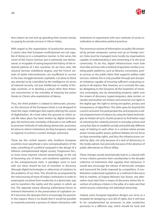

that citizens do not end up spending their income money on paying for private services in Silicon Valley.

With regard to the organisation of production processes, it seems clear that European multinationals are not capable of doing so in a competitive manner. In this sense, the vision of the Franco-German axis is extremely one-dimensional, or incapable of seeing beyond the history of the industrial policies of a few countries. As we have seen, the classical German ordoliberal dogma, and the French variants of statist interventionism, are insufficient to survive in the class struggle between capitalists. Let alone to block any attempt to be controlled by the intelligence (in terms of national security, not just intellectual or media) of foreign countries, or to develop a culture other than American consumerism or the mentality of enjoying low prices thanks to China's ultra-exploitation of labour.

Thus, the third problem is related to democratic processes: the structure of the European Union is not designed to meet the major challenges that require altering the course of digitalisation. At a time when the ground on which social life takes place has been broken by digital technologies, the technocratic mentality of Brussels is not sufficient to promote methods of radicalising democratic processes, let alone to reform institutions, be they European, national or regional, to achieve a certain strategic autonomy.

These are the central reasons why Southern European countries must spearhead a new conceptualisation of the state, something of a political vanguard in the design of a hitherto unimplemented digital society. Progressive forces must move beyond colonial epistemology, at the risk of becoming one of them, and neoliberal sophistry such as the entrepreneurial state. A paradigm more in tune with our times should be one of invention or discovery (through digital technologies or otherwise) of solutions to the problems of our time. This should be accompanied by the restructuring of many of today's institutions in order to emancipate ourselves from modernity in a democratic way and to transform the reality and the system in which we live. The opposite means allowing authoritarian forces to entrench themselves in the preservation of capitalism until it becomes the dystopia that is increasingly the present. In this respect, there is no doubt that it would be possible to massively promote a process of citizen interaction with

institutions to experiment with new methods of social coordination or alternative political practices.

The enormous volume of information on public life extracted by private companies cannot end up on foreign servers. Data must be managed more locally, by organisations capable of understanding it and connecting it to the local community. To do this, digital infrastructures must look more like archives with a method of operation similar to existing public platforms, such as libraries, universities, postal services or the public fabric that supports welfare state services. Indeed, this is only possible through pan-European initiatives capable of ensuring sufficient computing capacity in all regions. Not, however, as is currently the case, by delegating to the Eurozone all the loopholes of monetary sovereignty, but by demanding property rights over the means of discovery (supercomputers, data centres, or clouds) and another set of basic and universal civil rights in the digital age: the right to strong encryption, privacy and transparency of algorithms. The latter goes far beyond the current consumer-focused perspective and proposes a radical empowerment of citizens by using the latest technologies to initiate all sorts of pilot projects to find better ways of unlocking the creativity present in everyday actions and using that data to establish socially and politically different ways of relating to each other. In a context where private power trumps public power, political debates do not focus on data ownership rights, and thus the infrastructures created by data, not only because of a lack of democracy in the media sphere, but precisely because of the absence of public alternatives to Silicon Valley.

These changes would automatically lead to a cultural shift in how citizens perceive their membership in the broader collective of institutions that regulate their behaviour. It would also encourage the release of democratic energies and transcend the limits imposed by competition. If neoliberalism understood capitalism as a method of discovery tied to markets, as Evgeny Morozov has shown, any alternative must start from a means of discovery where the invention of ordinary citizens is the pillar of a state and that which secures citizenship, not individual ownership.

Indeed, some European legislative designs can serve as a template for designing a new bill of rights, but it will have to be complemented by processes to plan productive processes in a different way, which should be local and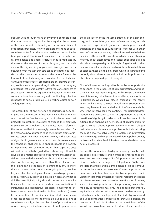popular. Also through ways of inventing concepts other than the classic factory worker. Let's say that the richness of the data around us should give rise to quite different production processes. How to promote methods of social coordination far from the labour market or the capital-labour paradigm? That is, could an alliance between technical intelligence and social structure, in turn mediated by thinkers at the service of the public good, not the audience of the big media groups work?. Synergies can occur between what Marxist thinkers called the petty bourgeoisie, but that nowadays represents the labour force at the forefront of the technological revolution (i.e. the technical vanguard of developers, programmers or software designers, to cite a few examples) alongside those of the decaying proletariat that paradoxically suffers the consequences of such designs. From the agreements between the two will come solutions for connecting and coordinating collective responses to social problems, using technological or even analogue systems.

The acquisition of anti-systemic consciousness depends, in part, on the rejection of neoliberal value-laden universals. It must be free technologies, not private ones, that unlock the radical consciousness of citizens, their creativity to solve existing problems and generate radical reforms in the system so that it increasingly resembles socialism. For this reason, a new approach to science cannot create or inculcate certain vital ends in human beings, as the apostates of algorithmic governance profess. It can, however, create the conditions that will push enough people in a society to implement laws of motion other than capitalist ones without the need to be guided by technocracy. Ultimately it would be a matter of reflecting the nature of capitalist social relations with the aim of transforming them in another direction. Inspecting both the depth of these changes and their limits can be the task of scientific thought. In short, this is a moment when politics must gain primacy over history and steer technological change towards a progressive utopia. Again, a question as old as it is necessary: What to do? The new digital policy should concentrate its revolutionary efforts in three areas: radical democratisation of institutions and deliberative processes, empowering citizens through constitutionally binding methods (thanks to the adoption of machine learning, blockchain or any other less bombastic method) to make public decisions or coordinate socially; collective planning of production processes through the implementation of public platforms as

the main vector of the industrial strategy of the 21st century; and the social organisation of creative labor, in such a way that it is possible to go forward private property and guarantee the means of subsistence. Together with other areas of utmost importance, such as international relations or science, these are the axes from which to start thinking not only about alternatives and radical public policies, but also about new paradigms of thought. Together with other areas of utmost importance, such as international relations or science, these are the axes from which to start thinking not only about alternatives and radical public policies, but also about new paradigms of thought.

First of all, new technological tools can be an opportunity to advance in the processes of democratisation and transparency that institutions require. In this sense, there have been interesting initiatives at the local level, such as those in Barcelona, which have placed citizens at the centre when thinking about the new digital administration. However, they have not been scaled up to the State as a whole, where the initiative (and the contracts) for digital transformation were delegated to private corporations. It is not a question of digitising in order to build endless 'smart institutions', thus opening up new spaces of accumulation for capital. Nor is it about applying technologies to analogue institutional and bureaucratic problems, but about using them as a lever to solve certain problems of information and knowledge exchange between different public bodies, i.e. to establish a feedback infrastructure as a basis for democratic processes.

Second, the foundation of a digital economy must be built on public infrastructure and it must be ensured that citizens can take advantage of its full potential. ensure that citizens can take advantage of its full potential. To this end, the data that fuels artificial intelligence or cloud computing must be a common resource. Current approaches to data ownership tend to emphasise two approaches: individual or corporate ownership. Neither respects the rights of citizens to share their data collectively for specific issues, such as improving traffic in a city, promoting sustainable mobility or reducing emissions. The opposite prevents fair, equitable and democratic control over the data economy. It also hinders the development of an industry composed of public companies connected to archives, libraries, art centers or cultural circuits that tap into the richness of the knowledge ecosystem. In order to address these problems,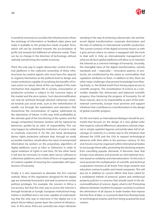

it would be necessary to socialise the infrastructures where the exchange of information or feedback takes place and make it available to the productive needs of public firms, which will not be oriented towards the accumulation of profit, but towards the fulfilment of collective needs. There can be no change in the direction of technology without radically transforming the market economy.

Third, the only way to regain democratic control of industrial platforms is the collective ownership of these infrastructures by creative agents, who must have the capacity to organise themselves at the political level to design and create institutions capable of socialising the benefits of human action on nature. None of this can happen if the main mechanism that regulates life in society, consumption or productive activities is subject to the corrosive logics of the market and the price system. Such decommodification can only be achieved through altruistic behaviour oriented towards just social ends, such as the redistribution of wealth, not through the exploitation and alienation that characterise the concentration of capital, sublimated by the uberisation of labour. In this way, both profitability as the ultimate goal of the functioning of the system and the savage competition between workers will be replaced by behaviour guided by an ethic of responsibility. This can only happen by rethinking the institution of work in order to creatively overcome it. On the one hand, developing labour rights protection software that, through an easily accessible interface, would allow the input of anonymised information by workers on the proprietary algorithms of digital platforms (such as Uber or Deliveroo) in order to signal violations of rights in real time. On the other hand, it will also be necessary to create open source software to collectivise platforms and to think of forms of organisation of creation capable of ensuring the sustainable self-reproduction of humanity.

Finally, it is also important to abandon the EU's colonial outlook. Many of the regulations designed for the digital age are extremely Eurocentric and seek to preserve certain political privileges. For example, the concern in Africa is not privacy, but that the only way to access the internet is through Facebook or Google. European institutional imagination is stultified and is not even capable of understanding that the only way to intervene in the digital era is to attack Silicon Valley's power base: the control of infrastructure. In this sense, there are currently two major obstacles

standing in the way of achieving a democratic, fair and balanced digital transformation: corporate domination and the lack of solidarity in international scientific production. The current scenario of the digital economy leaves us with a grim picture where no nation is equipped with the tools to deal with it. Only an internationalist management of what are de facto global platforms will allow us to maintain the Internet as a common heritage of humanity. Secondly, the intangible basis of the digital transformation, namely standards and *—*especially*—* innovation patents, or protocols, are conditioned by the status as commodities that capitalism attributes to them. In addition to this, there are other major challenges that prevent knowledge from flowing freely, i.e. the Global South from having equal access to scientific progress. The consideration of science as a commodity impedes fair, democratic and balanced scientific progress, thus hindering the progress of humanity. For all these reasons, due to its responsibility as part of the international community, Europe must promote and support initiatives that contribute to a transformation in the design of global scientific progress.

On the one hand, an international dialogue should be promoted that focuses on the design of a new global order that respects cultural differences, abandons colonial, imperial or simply capitalist legacies and jointly takes full of advantage of creativity in a similar way to the initiatives that allowed the USSR and the USA to expand technological advances with their allies in the previous century. To this end, forums must be organised within international bodies to encourage these talks, preventing the declining empires from cancelling popular demands. It becomes clear that Europe must advance and promote an international structure based on solidarity and internationalism. To this end, it must promote the multiplication of scientific and technical cooperation missions at all levels: from large research and education centres to public and mixed companies. This will also be in addition to current efforts that have called for a multilateral rethink of protocol, patent and intellectual property policies in a process that should result in the decommodification of science. Again, what to do? Promoting alliances between Southern European countries to achieve the elimination of all clauses in trade treaties that impose the free flow of data, i.e. to prevent data from flowing freely to technological empires and from being acquired by local centers.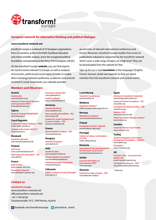

# **European network for alternative thinking and political dialogue**

#### **www.transform-network.net**

transform! europe is a network of 33 European organisations from 22 countries, active in the field of political education and critical scientific analysis, and is the recognised political foundation corresponding to the Party of the European Left (EL).

On the transform! europe **website**, you can find reports on current events relevant to Europe, as well as analyses of economic, political and social topics. In order to enable direct exchange between politicians, academics and activists involved in social movements, our calendar provides

an overview of relevant international conferences and events. Moreover, transform! europe enables free access to publications released or supported by the transform! network which cover a wide range of topics on a high level. They can be downloaded from the website for free.

Sign up for our e-mail **newsletter** in five languages (English, French, German, Greek and Spanish) to find out about activities from the transform! network and current events.

## **Members and Observers**

#### **Austria**

**transform!at** www.transform.or.at **Institute of Intercultural Research and Cooperation (IIRC)**\* www.latautonomy.org

#### **Cyprus**

**Research Institute PROMITHEAS**\* www.inep.org.cy

#### **Czech Republic**

**Society for European Dialogue – SPED** email: malek\_j@cbox.cz **Institute of the Czech Left (ICL)**\* www.institutcl.cz

#### **Denmark**

**transform! danmark** www.transformdanmark.dk

#### **Finland**

**Left Forum** www.vasemmistofoorumi.fi **Democratic Civic Association – DSL** www.desili.fi

#### **France**

**Espaces Marx** www.espaces-marx.net **Foundation Copernic**\* www.fondation-copernic.org

# **Contact us**

**transform! europe** www.transform-network.net office@transform-network.net +43 1 504 66 86 Gusshausstraße 14/3, 1040 Vienna, Austria

**Institut La Boétie**\* https://institutlaboetie.fr **Germany**

**Foundation Gabriel Péri**\* www.gabrielperi.fr

**Journal Sozialismus** www.sozialismus.de **Rosa Luxemburg Foundation – RLS** www.rosalux.de **Institute for Social, Ecological and Economic Studies – ISW**  www.isw-muenchen.de

#### **Greece**

**Nicos Poulantzas Institute – NPI** www.poulantzas.gr

### **Hungary**

**transform! hungary**\* www.balmix.hu

#### **Italy**

**transform! italia** www.transform-italia.net **Claudio Sabattini Foundation**\*

www.fondazionesabattini.it **Cultural Association Punto Rosso** www.puntorosso.it

**Lithuania DEMOS. Institute of Critical Thought**\* www.demos.lt

## **Luxembourg**

**Transform! Luxembourg** www.transform.lu

**Moldova Transform! Moldova**\* email: transformoldova@gmail.com

**Norway Manifesto Foundation**\* www.manifesttankesmie.no

**Poland Foundation Forward / Naprzód** www.fundacja-naprzod.pl

**Portugal Cultures of Labour and Socialism – CUL:TRA** email: info@cultra.pt

#### **Romania Association for the Development of the Romanian Social Forum**\* www.forumulsocialroman.ro

**Serbia Centre for the Politics of Emancipation (CPE)**\* www.cpe.org.rs

**Slovenia Institute for Labour Studies – IDS**\* www.delavske-studije.si

#### **Spain**

**Alternative Foundation (Catalonia)** www.fundacioalternativa.cat **Europe of Citizens Foundation – FEC** www.lafec.org

**Foundation for Marxist Studies – FIM** www.fim.org.es

**Instituto 25M**\* www.instituto25m.info

**Iratzar Foundation (Basque country)**\* www.iratzar.eus

**Sweden**

**Center for Marxist Social Studies** www.cmsmarx.org

#### **Turkey**

**Social Investigations and Cultural Development Foundation – TAKSAV**\* www.taksav.org

**R-komplex**\* www.r-komplex.org

#### **UK**

**Transform (UK) – A Journal of the Radical Left** email: transform@prruk.org **The World Transformed – TWT**\* www.theworldtransformed.org

\* Observers

f facebook.com/transformeurope **D** @transform\_ntwrk